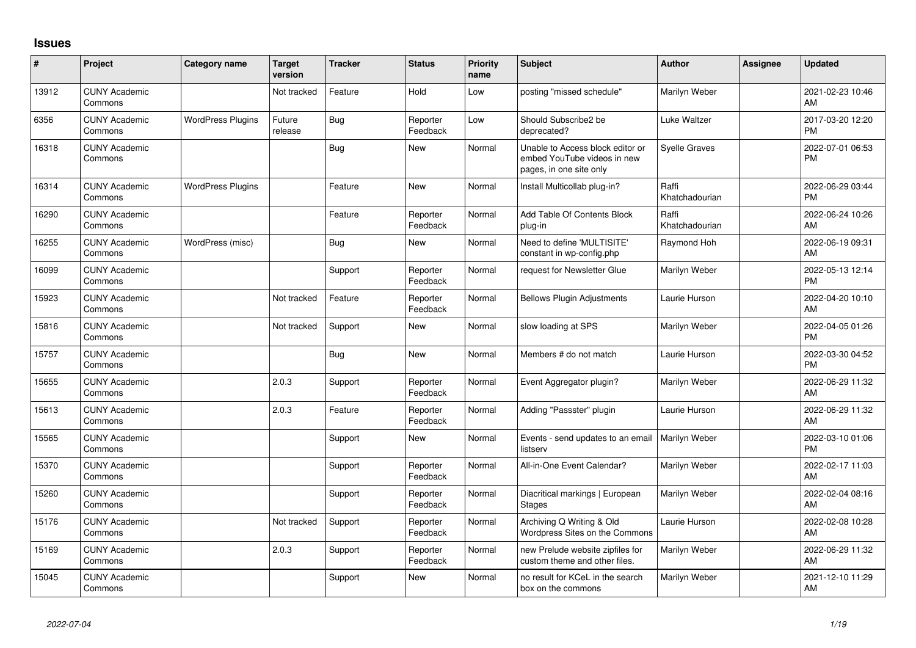## **Issues**

| $\#$  | Project                         | <b>Category name</b>     | <b>Target</b><br>version | <b>Tracker</b> | <b>Status</b>        | <b>Priority</b><br>name | <b>Subject</b>                                                                             | <b>Author</b>           | Assignee | <b>Updated</b>                |
|-------|---------------------------------|--------------------------|--------------------------|----------------|----------------------|-------------------------|--------------------------------------------------------------------------------------------|-------------------------|----------|-------------------------------|
| 13912 | <b>CUNY Academic</b><br>Commons |                          | Not tracked              | Feature        | Hold                 | Low                     | posting "missed schedule"                                                                  | Marilyn Weber           |          | 2021-02-23 10:46<br>AM        |
| 6356  | <b>CUNY Academic</b><br>Commons | <b>WordPress Plugins</b> | Future<br>release        | <b>Bug</b>     | Reporter<br>Feedback | Low                     | Should Subscribe2 be<br>deprecated?                                                        | Luke Waltzer            |          | 2017-03-20 12:20<br><b>PM</b> |
| 16318 | <b>CUNY Academic</b><br>Commons |                          |                          | Bug            | <b>New</b>           | Normal                  | Unable to Access block editor or<br>embed YouTube videos in new<br>pages, in one site only | <b>Syelle Graves</b>    |          | 2022-07-01 06:53<br><b>PM</b> |
| 16314 | <b>CUNY Academic</b><br>Commons | <b>WordPress Plugins</b> |                          | Feature        | <b>New</b>           | Normal                  | Install Multicollab plug-in?                                                               | Raffi<br>Khatchadourian |          | 2022-06-29 03:44<br><b>PM</b> |
| 16290 | <b>CUNY Academic</b><br>Commons |                          |                          | Feature        | Reporter<br>Feedback | Normal                  | Add Table Of Contents Block<br>plug-in                                                     | Raffi<br>Khatchadourian |          | 2022-06-24 10:26<br>AM        |
| 16255 | <b>CUNY Academic</b><br>Commons | WordPress (misc)         |                          | Bug            | <b>New</b>           | Normal                  | Need to define 'MULTISITE'<br>constant in wp-config.php                                    | Raymond Hoh             |          | 2022-06-19 09:31<br>AM        |
| 16099 | <b>CUNY Academic</b><br>Commons |                          |                          | Support        | Reporter<br>Feedback | Normal                  | request for Newsletter Glue                                                                | Marilyn Weber           |          | 2022-05-13 12:14<br><b>PM</b> |
| 15923 | <b>CUNY Academic</b><br>Commons |                          | Not tracked              | Feature        | Reporter<br>Feedback | Normal                  | <b>Bellows Plugin Adjustments</b>                                                          | Laurie Hurson           |          | 2022-04-20 10:10<br>AM        |
| 15816 | <b>CUNY Academic</b><br>Commons |                          | Not tracked              | Support        | <b>New</b>           | Normal                  | slow loading at SPS                                                                        | Marilyn Weber           |          | 2022-04-05 01:26<br><b>PM</b> |
| 15757 | <b>CUNY Academic</b><br>Commons |                          |                          | Bug            | New                  | Normal                  | Members # do not match                                                                     | Laurie Hurson           |          | 2022-03-30 04:52<br><b>PM</b> |
| 15655 | <b>CUNY Academic</b><br>Commons |                          | 2.0.3                    | Support        | Reporter<br>Feedback | Normal                  | Event Aggregator plugin?                                                                   | Marilyn Weber           |          | 2022-06-29 11:32<br>AM        |
| 15613 | <b>CUNY Academic</b><br>Commons |                          | 2.0.3                    | Feature        | Reporter<br>Feedback | Normal                  | Adding "Passster" plugin                                                                   | Laurie Hurson           |          | 2022-06-29 11:32<br>AM        |
| 15565 | <b>CUNY Academic</b><br>Commons |                          |                          | Support        | <b>New</b>           | Normal                  | Events - send updates to an email<br>listserv                                              | Marilyn Weber           |          | 2022-03-10 01:06<br><b>PM</b> |
| 15370 | <b>CUNY Academic</b><br>Commons |                          |                          | Support        | Reporter<br>Feedback | Normal                  | All-in-One Event Calendar?                                                                 | Marilyn Weber           |          | 2022-02-17 11:03<br>AM        |
| 15260 | <b>CUNY Academic</b><br>Commons |                          |                          | Support        | Reporter<br>Feedback | Normal                  | Diacritical markings   European<br><b>Stages</b>                                           | Marilyn Weber           |          | 2022-02-04 08:16<br>AM        |
| 15176 | <b>CUNY Academic</b><br>Commons |                          | Not tracked              | Support        | Reporter<br>Feedback | Normal                  | Archiving Q Writing & Old<br>Wordpress Sites on the Commons                                | Laurie Hurson           |          | 2022-02-08 10:28<br>AM        |
| 15169 | <b>CUNY Academic</b><br>Commons |                          | 2.0.3                    | Support        | Reporter<br>Feedback | Normal                  | new Prelude website zipfiles for<br>custom theme and other files.                          | Marilyn Weber           |          | 2022-06-29 11:32<br>AM        |
| 15045 | <b>CUNY Academic</b><br>Commons |                          |                          | Support        | <b>New</b>           | Normal                  | no result for KCeL in the search<br>box on the commons                                     | Marilyn Weber           |          | 2021-12-10 11:29<br>AM        |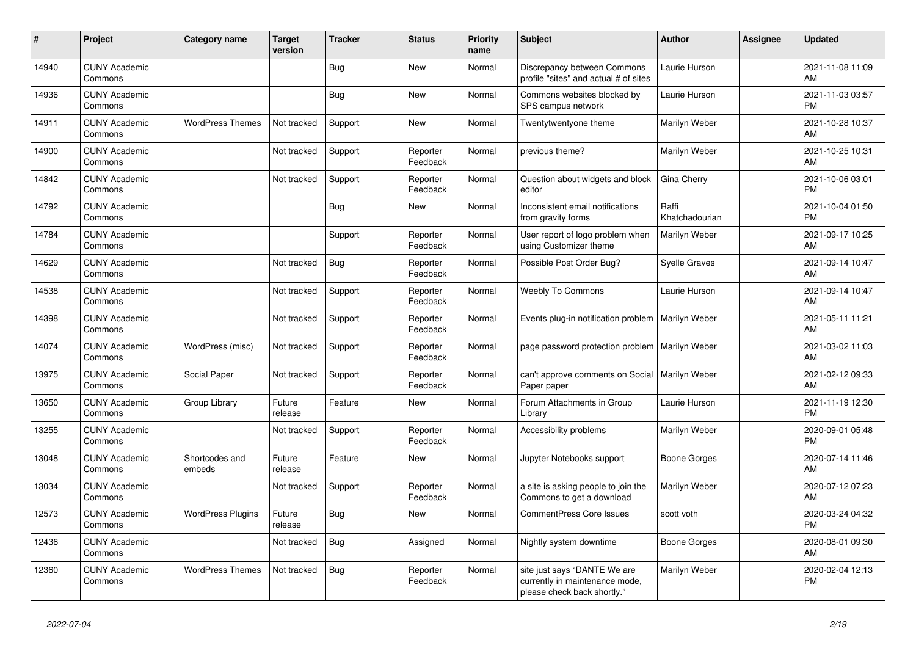| #     | Project                         | <b>Category name</b>     | <b>Target</b><br>version | <b>Tracker</b> | <b>Status</b>        | <b>Priority</b><br>name | <b>Subject</b>                                                                                | <b>Author</b>           | <b>Assignee</b> | <b>Updated</b>                |
|-------|---------------------------------|--------------------------|--------------------------|----------------|----------------------|-------------------------|-----------------------------------------------------------------------------------------------|-------------------------|-----------------|-------------------------------|
| 14940 | <b>CUNY Academic</b><br>Commons |                          |                          | <b>Bug</b>     | New                  | Normal                  | Discrepancy between Commons<br>profile "sites" and actual # of sites                          | Laurie Hurson           |                 | 2021-11-08 11:09<br>AM.       |
| 14936 | <b>CUNY Academic</b><br>Commons |                          |                          | Bug            | <b>New</b>           | Normal                  | Commons websites blocked by<br>SPS campus network                                             | Laurie Hurson           |                 | 2021-11-03 03:57<br><b>PM</b> |
| 14911 | <b>CUNY Academic</b><br>Commons | <b>WordPress Themes</b>  | Not tracked              | Support        | <b>New</b>           | Normal                  | Twentytwentyone theme                                                                         | Marilyn Weber           |                 | 2021-10-28 10:37<br>AM        |
| 14900 | <b>CUNY Academic</b><br>Commons |                          | Not tracked              | Support        | Reporter<br>Feedback | Normal                  | previous theme?                                                                               | Marilyn Weber           |                 | 2021-10-25 10:31<br>AM        |
| 14842 | <b>CUNY Academic</b><br>Commons |                          | Not tracked              | Support        | Reporter<br>Feedback | Normal                  | Question about widgets and block<br>editor                                                    | Gina Cherry             |                 | 2021-10-06 03:01<br><b>PM</b> |
| 14792 | <b>CUNY Academic</b><br>Commons |                          |                          | <b>Bug</b>     | New                  | Normal                  | Inconsistent email notifications<br>from gravity forms                                        | Raffi<br>Khatchadourian |                 | 2021-10-04 01:50<br><b>PM</b> |
| 14784 | <b>CUNY Academic</b><br>Commons |                          |                          | Support        | Reporter<br>Feedback | Normal                  | User report of logo problem when<br>using Customizer theme                                    | Marilyn Weber           |                 | 2021-09-17 10:25<br>AM        |
| 14629 | <b>CUNY Academic</b><br>Commons |                          | Not tracked              | Bug            | Reporter<br>Feedback | Normal                  | Possible Post Order Bug?                                                                      | <b>Syelle Graves</b>    |                 | 2021-09-14 10:47<br>AM        |
| 14538 | <b>CUNY Academic</b><br>Commons |                          | Not tracked              | Support        | Reporter<br>Feedback | Normal                  | Weebly To Commons                                                                             | Laurie Hurson           |                 | 2021-09-14 10:47<br>AM        |
| 14398 | <b>CUNY Academic</b><br>Commons |                          | Not tracked              | Support        | Reporter<br>Feedback | Normal                  | Events plug-in notification problem                                                           | Marilyn Weber           |                 | 2021-05-11 11:21<br><b>AM</b> |
| 14074 | <b>CUNY Academic</b><br>Commons | WordPress (misc)         | Not tracked              | Support        | Reporter<br>Feedback | Normal                  | page password protection problem                                                              | Marilyn Weber           |                 | 2021-03-02 11:03<br>AM        |
| 13975 | <b>CUNY Academic</b><br>Commons | Social Paper             | Not tracked              | Support        | Reporter<br>Feedback | Normal                  | can't approve comments on Social<br>Paper paper                                               | Marilyn Weber           |                 | 2021-02-12 09:33<br><b>AM</b> |
| 13650 | <b>CUNY Academic</b><br>Commons | Group Library            | Future<br>release        | Feature        | New                  | Normal                  | Forum Attachments in Group<br>Library                                                         | Laurie Hurson           |                 | 2021-11-19 12:30<br><b>PM</b> |
| 13255 | <b>CUNY Academic</b><br>Commons |                          | Not tracked              | Support        | Reporter<br>Feedback | Normal                  | Accessibility problems                                                                        | Marilyn Weber           |                 | 2020-09-01 05:48<br><b>PM</b> |
| 13048 | <b>CUNY Academic</b><br>Commons | Shortcodes and<br>embeds | Future<br>release        | Feature        | <b>New</b>           | Normal                  | Jupyter Notebooks support                                                                     | Boone Gorges            |                 | 2020-07-14 11:46<br>AM        |
| 13034 | <b>CUNY Academic</b><br>Commons |                          | Not tracked              | Support        | Reporter<br>Feedback | Normal                  | a site is asking people to join the<br>Commons to get a download                              | Marilyn Weber           |                 | 2020-07-12 07:23<br>AM        |
| 12573 | <b>CUNY Academic</b><br>Commons | <b>WordPress Plugins</b> | Future<br>release        | <b>Bug</b>     | New                  | Normal                  | <b>CommentPress Core Issues</b>                                                               | scott voth              |                 | 2020-03-24 04:32<br><b>PM</b> |
| 12436 | <b>CUNY Academic</b><br>Commons |                          | Not tracked              | Bug            | Assigned             | Normal                  | Nightly system downtime                                                                       | <b>Boone Gorges</b>     |                 | 2020-08-01 09:30<br>AM        |
| 12360 | <b>CUNY Academic</b><br>Commons | <b>WordPress Themes</b>  | Not tracked              | Bug            | Reporter<br>Feedback | Normal                  | site just says "DANTE We are<br>currently in maintenance mode,<br>please check back shortly." | Marilyn Weber           |                 | 2020-02-04 12:13<br><b>PM</b> |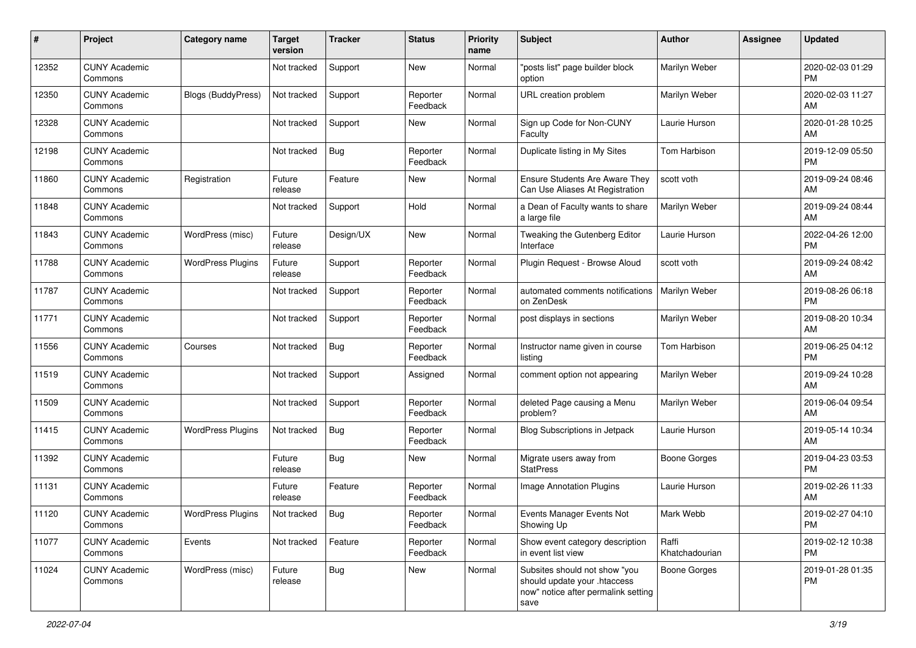| #     | Project                         | <b>Category name</b>      | <b>Target</b><br>version | <b>Tracker</b> | <b>Status</b>        | <b>Priority</b><br>name | <b>Subject</b>                                                                                               | <b>Author</b>           | Assignee | Updated                       |
|-------|---------------------------------|---------------------------|--------------------------|----------------|----------------------|-------------------------|--------------------------------------------------------------------------------------------------------------|-------------------------|----------|-------------------------------|
| 12352 | <b>CUNY Academic</b><br>Commons |                           | Not tracked              | Support        | <b>New</b>           | Normal                  | "posts list" page builder block<br>option                                                                    | Marilyn Weber           |          | 2020-02-03 01:29<br><b>PM</b> |
| 12350 | <b>CUNY Academic</b><br>Commons | <b>Blogs (BuddyPress)</b> | Not tracked              | Support        | Reporter<br>Feedback | Normal                  | URL creation problem                                                                                         | Marilyn Weber           |          | 2020-02-03 11:27<br>AM        |
| 12328 | <b>CUNY Academic</b><br>Commons |                           | Not tracked              | Support        | New                  | Normal                  | Sign up Code for Non-CUNY<br>Faculty                                                                         | Laurie Hurson           |          | 2020-01-28 10:25<br>AM        |
| 12198 | <b>CUNY Academic</b><br>Commons |                           | Not tracked              | Bug            | Reporter<br>Feedback | Normal                  | Duplicate listing in My Sites                                                                                | Tom Harbison            |          | 2019-12-09 05:50<br><b>PM</b> |
| 11860 | <b>CUNY Academic</b><br>Commons | Registration              | Future<br>release        | Feature        | New                  | Normal                  | <b>Ensure Students Are Aware They</b><br>Can Use Aliases At Registration                                     | scott voth              |          | 2019-09-24 08:46<br>AM        |
| 11848 | <b>CUNY Academic</b><br>Commons |                           | Not tracked              | Support        | Hold                 | Normal                  | a Dean of Faculty wants to share<br>a large file                                                             | Marilyn Weber           |          | 2019-09-24 08:44<br>AM        |
| 11843 | <b>CUNY Academic</b><br>Commons | WordPress (misc)          | Future<br>release        | Design/UX      | <b>New</b>           | Normal                  | Tweaking the Gutenberg Editor<br>Interface                                                                   | Laurie Hurson           |          | 2022-04-26 12:00<br><b>PM</b> |
| 11788 | <b>CUNY Academic</b><br>Commons | <b>WordPress Plugins</b>  | Future<br>release        | Support        | Reporter<br>Feedback | Normal                  | Plugin Request - Browse Aloud                                                                                | scott voth              |          | 2019-09-24 08:42<br>AM        |
| 11787 | <b>CUNY Academic</b><br>Commons |                           | Not tracked              | Support        | Reporter<br>Feedback | Normal                  | automated comments notifications<br>on ZenDesk                                                               | Marilyn Weber           |          | 2019-08-26 06:18<br><b>PM</b> |
| 11771 | <b>CUNY Academic</b><br>Commons |                           | Not tracked              | Support        | Reporter<br>Feedback | Normal                  | post displays in sections                                                                                    | Marilyn Weber           |          | 2019-08-20 10:34<br>AM        |
| 11556 | <b>CUNY Academic</b><br>Commons | Courses                   | Not tracked              | Bug            | Reporter<br>Feedback | Normal                  | Instructor name given in course<br>listing                                                                   | Tom Harbison            |          | 2019-06-25 04:12<br><b>PM</b> |
| 11519 | <b>CUNY Academic</b><br>Commons |                           | Not tracked              | Support        | Assigned             | Normal                  | comment option not appearing                                                                                 | Marilyn Weber           |          | 2019-09-24 10:28<br>AM        |
| 11509 | <b>CUNY Academic</b><br>Commons |                           | Not tracked              | Support        | Reporter<br>Feedback | Normal                  | deleted Page causing a Menu<br>problem?                                                                      | Marilyn Weber           |          | 2019-06-04 09:54<br>AM        |
| 11415 | <b>CUNY Academic</b><br>Commons | <b>WordPress Plugins</b>  | Not tracked              | Bug            | Reporter<br>Feedback | Normal                  | Blog Subscriptions in Jetpack                                                                                | Laurie Hurson           |          | 2019-05-14 10:34<br>AM        |
| 11392 | <b>CUNY Academic</b><br>Commons |                           | Future<br>release        | Bug            | New                  | Normal                  | Migrate users away from<br><b>StatPress</b>                                                                  | <b>Boone Gorges</b>     |          | 2019-04-23 03:53<br><b>PM</b> |
| 11131 | <b>CUNY Academic</b><br>Commons |                           | Future<br>release        | Feature        | Reporter<br>Feedback | Normal                  | Image Annotation Plugins                                                                                     | Laurie Hurson           |          | 2019-02-26 11:33<br>AM        |
| 11120 | <b>CUNY Academic</b><br>Commons | <b>WordPress Plugins</b>  | Not tracked              | Bug            | Reporter<br>Feedback | Normal                  | Events Manager Events Not<br>Showing Up                                                                      | Mark Webb               |          | 2019-02-27 04:10<br>PM        |
| 11077 | <b>CUNY Academic</b><br>Commons | Events                    | Not tracked              | Feature        | Reporter<br>Feedback | Normal                  | Show event category description<br>in event list view                                                        | Raffi<br>Khatchadourian |          | 2019-02-12 10:38<br><b>PM</b> |
| 11024 | <b>CUNY Academic</b><br>Commons | WordPress (misc)          | Future<br>release        | Bug            | New                  | Normal                  | Subsites should not show "you<br>should update your .htaccess<br>now" notice after permalink setting<br>save | Boone Gorges            |          | 2019-01-28 01:35<br><b>PM</b> |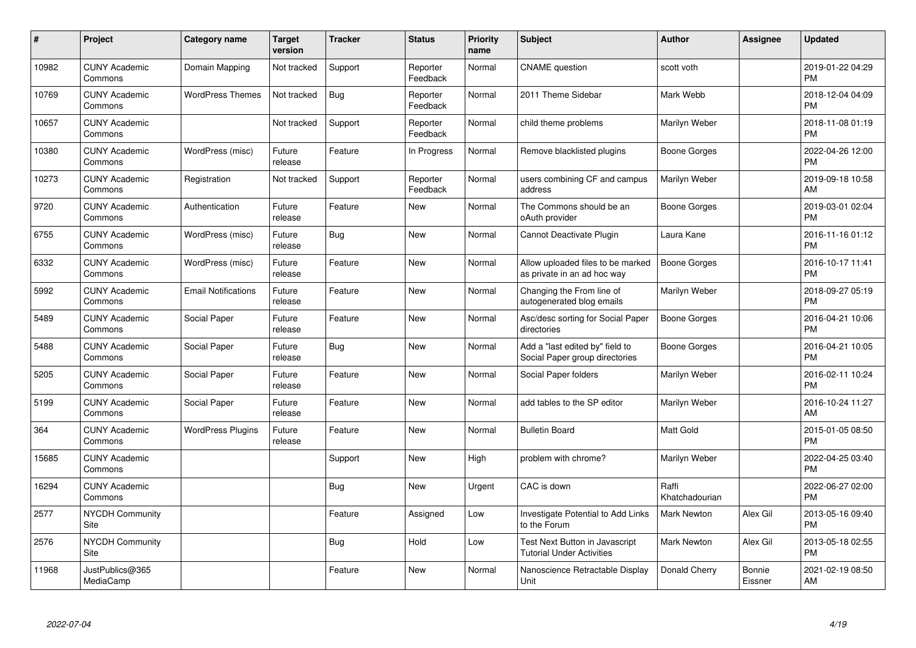| $\pmb{\#}$ | Project                         | <b>Category name</b>       | Target<br>version | <b>Tracker</b> | <b>Status</b>        | Priority<br>name | <b>Subject</b>                                                     | <b>Author</b>           | <b>Assignee</b>   | <b>Updated</b>                |
|------------|---------------------------------|----------------------------|-------------------|----------------|----------------------|------------------|--------------------------------------------------------------------|-------------------------|-------------------|-------------------------------|
| 10982      | <b>CUNY Academic</b><br>Commons | Domain Mapping             | Not tracked       | Support        | Reporter<br>Feedback | Normal           | <b>CNAME</b> question                                              | scott voth              |                   | 2019-01-22 04:29<br><b>PM</b> |
| 10769      | <b>CUNY Academic</b><br>Commons | <b>WordPress Themes</b>    | Not tracked       | Bug            | Reporter<br>Feedback | Normal           | 2011 Theme Sidebar                                                 | Mark Webb               |                   | 2018-12-04 04:09<br><b>PM</b> |
| 10657      | <b>CUNY Academic</b><br>Commons |                            | Not tracked       | Support        | Reporter<br>Feedback | Normal           | child theme problems                                               | Marilyn Weber           |                   | 2018-11-08 01:19<br><b>PM</b> |
| 10380      | <b>CUNY Academic</b><br>Commons | WordPress (misc)           | Future<br>release | Feature        | In Progress          | Normal           | Remove blacklisted plugins                                         | Boone Gorges            |                   | 2022-04-26 12:00<br><b>PM</b> |
| 10273      | <b>CUNY Academic</b><br>Commons | Registration               | Not tracked       | Support        | Reporter<br>Feedback | Normal           | users combining CF and campus<br>address                           | Marilyn Weber           |                   | 2019-09-18 10:58<br>AM        |
| 9720       | <b>CUNY Academic</b><br>Commons | Authentication             | Future<br>release | Feature        | <b>New</b>           | Normal           | The Commons should be an<br>oAuth provider                         | <b>Boone Gorges</b>     |                   | 2019-03-01 02:04<br><b>PM</b> |
| 6755       | <b>CUNY Academic</b><br>Commons | WordPress (misc)           | Future<br>release | <b>Bug</b>     | New                  | Normal           | Cannot Deactivate Plugin                                           | Laura Kane              |                   | 2016-11-16 01:12<br><b>PM</b> |
| 6332       | <b>CUNY Academic</b><br>Commons | WordPress (misc)           | Future<br>release | Feature        | <b>New</b>           | Normal           | Allow uploaded files to be marked<br>as private in an ad hoc way   | Boone Gorges            |                   | 2016-10-17 11:41<br><b>PM</b> |
| 5992       | <b>CUNY Academic</b><br>Commons | <b>Email Notifications</b> | Future<br>release | Feature        | New                  | Normal           | Changing the From line of<br>autogenerated blog emails             | Marilyn Weber           |                   | 2018-09-27 05:19<br><b>PM</b> |
| 5489       | <b>CUNY Academic</b><br>Commons | Social Paper               | Future<br>release | Feature        | New                  | Normal           | Asc/desc sorting for Social Paper<br>directories                   | Boone Gorges            |                   | 2016-04-21 10:06<br>PM        |
| 5488       | <b>CUNY Academic</b><br>Commons | Social Paper               | Future<br>release | Bug            | New                  | Normal           | Add a "last edited by" field to<br>Social Paper group directories  | Boone Gorges            |                   | 2016-04-21 10:05<br><b>PM</b> |
| 5205       | <b>CUNY Academic</b><br>Commons | Social Paper               | Future<br>release | Feature        | New                  | Normal           | Social Paper folders                                               | Marilyn Weber           |                   | 2016-02-11 10:24<br><b>PM</b> |
| 5199       | <b>CUNY Academic</b><br>Commons | Social Paper               | Future<br>release | Feature        | New                  | Normal           | add tables to the SP editor                                        | Marilyn Weber           |                   | 2016-10-24 11:27<br>AM        |
| 364        | <b>CUNY Academic</b><br>Commons | <b>WordPress Plugins</b>   | Future<br>release | Feature        | New                  | Normal           | <b>Bulletin Board</b>                                              | Matt Gold               |                   | 2015-01-05 08:50<br><b>PM</b> |
| 15685      | <b>CUNY Academic</b><br>Commons |                            |                   | Support        | New                  | High             | problem with chrome?                                               | Marilyn Weber           |                   | 2022-04-25 03:40<br><b>PM</b> |
| 16294      | <b>CUNY Academic</b><br>Commons |                            |                   | Bug            | New                  | Urgent           | CAC is down                                                        | Raffi<br>Khatchadourian |                   | 2022-06-27 02:00<br><b>PM</b> |
| 2577       | <b>NYCDH Community</b><br>Site  |                            |                   | Feature        | Assigned             | Low              | Investigate Potential to Add Links<br>to the Forum                 | <b>Mark Newton</b>      | Alex Gil          | 2013-05-16 09:40<br><b>PM</b> |
| 2576       | <b>NYCDH Community</b><br>Site  |                            |                   | Bug            | Hold                 | Low              | Test Next Button in Javascript<br><b>Tutorial Under Activities</b> | Mark Newton             | Alex Gil          | 2013-05-18 02:55<br><b>PM</b> |
| 11968      | JustPublics@365<br>MediaCamp    |                            |                   | Feature        | <b>New</b>           | Normal           | Nanoscience Retractable Display<br>Unit                            | Donald Cherry           | Bonnie<br>Eissner | 2021-02-19 08:50<br>AM        |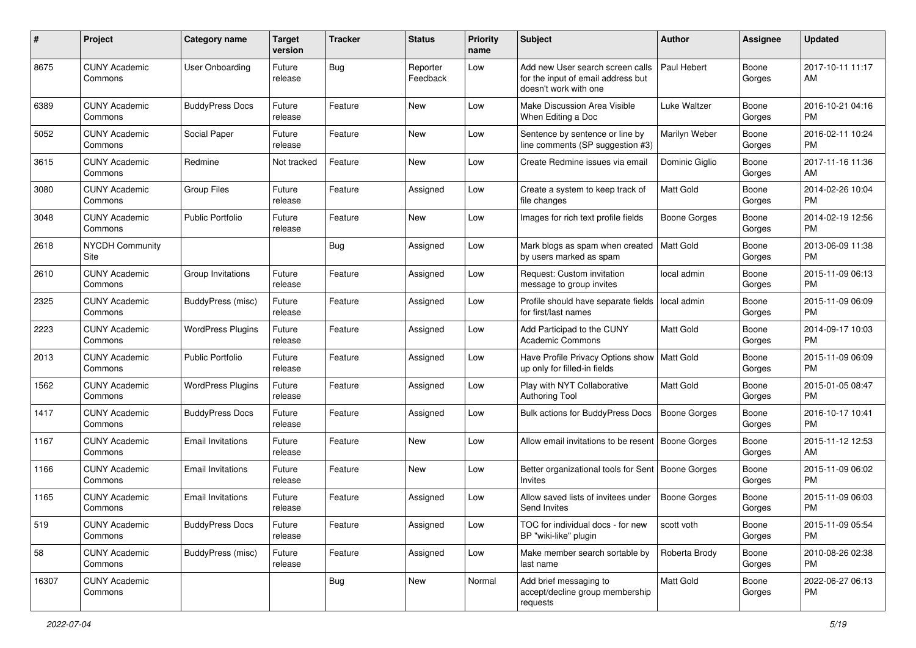| #     | Project                         | <b>Category name</b>     | <b>Target</b><br>version | <b>Tracker</b> | <b>Status</b>        | <b>Priority</b><br>name | <b>Subject</b>                                                                                  | Author              | <b>Assignee</b> | <b>Updated</b>                |
|-------|---------------------------------|--------------------------|--------------------------|----------------|----------------------|-------------------------|-------------------------------------------------------------------------------------------------|---------------------|-----------------|-------------------------------|
| 8675  | <b>CUNY Academic</b><br>Commons | <b>User Onboarding</b>   | Future<br>release        | <b>Bug</b>     | Reporter<br>Feedback | Low                     | Add new User search screen calls<br>for the input of email address but<br>doesn't work with one | Paul Hebert         | Boone<br>Gorges | 2017-10-11 11:17<br>AM        |
| 6389  | <b>CUNY Academic</b><br>Commons | <b>BuddyPress Docs</b>   | Future<br>release        | Feature        | New                  | Low                     | Make Discussion Area Visible<br>When Editing a Doc                                              | Luke Waltzer        | Boone<br>Gorges | 2016-10-21 04:16<br>PM        |
| 5052  | <b>CUNY Academic</b><br>Commons | Social Paper             | Future<br>release        | Feature        | New                  | Low                     | Sentence by sentence or line by<br>line comments (SP suggestion #3)                             | Marilyn Weber       | Boone<br>Gorges | 2016-02-11 10:24<br><b>PM</b> |
| 3615  | <b>CUNY Academic</b><br>Commons | Redmine                  | Not tracked              | Feature        | New                  | Low                     | Create Redmine issues via email                                                                 | Dominic Giglio      | Boone<br>Gorges | 2017-11-16 11:36<br>AM        |
| 3080  | <b>CUNY Academic</b><br>Commons | <b>Group Files</b>       | Future<br>release        | Feature        | Assigned             | Low                     | Create a system to keep track of<br>file changes                                                | Matt Gold           | Boone<br>Gorges | 2014-02-26 10:04<br><b>PM</b> |
| 3048  | <b>CUNY Academic</b><br>Commons | Public Portfolio         | Future<br>release        | Feature        | New                  | Low                     | Images for rich text profile fields                                                             | Boone Gorges        | Boone<br>Gorges | 2014-02-19 12:56<br><b>PM</b> |
| 2618  | <b>NYCDH Community</b><br>Site  |                          |                          | Bug            | Assigned             | Low                     | Mark blogs as spam when created<br>by users marked as spam                                      | Matt Gold           | Boone<br>Gorges | 2013-06-09 11:38<br><b>PM</b> |
| 2610  | <b>CUNY Academic</b><br>Commons | Group Invitations        | Future<br>release        | Feature        | Assigned             | Low                     | Request: Custom invitation<br>message to group invites                                          | local admin         | Boone<br>Gorges | 2015-11-09 06:13<br><b>PM</b> |
| 2325  | <b>CUNY Academic</b><br>Commons | BuddyPress (misc)        | Future<br>release        | Feature        | Assigned             | Low                     | Profile should have separate fields<br>for first/last names                                     | local admin         | Boone<br>Gorges | 2015-11-09 06:09<br><b>PM</b> |
| 2223  | <b>CUNY Academic</b><br>Commons | <b>WordPress Plugins</b> | Future<br>release        | Feature        | Assigned             | Low                     | Add Participad to the CUNY<br><b>Academic Commons</b>                                           | <b>Matt Gold</b>    | Boone<br>Gorges | 2014-09-17 10:03<br><b>PM</b> |
| 2013  | <b>CUNY Academic</b><br>Commons | <b>Public Portfolio</b>  | Future<br>release        | Feature        | Assigned             | Low                     | Have Profile Privacy Options show<br>up only for filled-in fields                               | Matt Gold           | Boone<br>Gorges | 2015-11-09 06:09<br><b>PM</b> |
| 1562  | <b>CUNY Academic</b><br>Commons | <b>WordPress Plugins</b> | Future<br>release        | Feature        | Assigned             | Low                     | Play with NYT Collaborative<br><b>Authoring Tool</b>                                            | <b>Matt Gold</b>    | Boone<br>Gorges | 2015-01-05 08:47<br><b>PM</b> |
| 1417  | <b>CUNY Academic</b><br>Commons | <b>BuddyPress Docs</b>   | Future<br>release        | Feature        | Assigned             | Low                     | Bulk actions for BuddyPress Docs                                                                | Boone Gorges        | Boone<br>Gorges | 2016-10-17 10:41<br><b>PM</b> |
| 1167  | <b>CUNY Academic</b><br>Commons | <b>Email Invitations</b> | Future<br>release        | Feature        | New                  | Low                     | Allow email invitations to be resent                                                            | Boone Gorges        | Boone<br>Gorges | 2015-11-12 12:53<br>AM        |
| 1166  | <b>CUNY Academic</b><br>Commons | <b>Email Invitations</b> | Future<br>release        | Feature        | New                  | Low                     | Better organizational tools for Sent<br>Invites                                                 | <b>Boone Gorges</b> | Boone<br>Gorges | 2015-11-09 06:02<br><b>PM</b> |
| 1165  | <b>CUNY Academic</b><br>Commons | <b>Email Invitations</b> | Future<br>release        | Feature        | Assigned             | Low                     | Allow saved lists of invitees under<br>Send Invites                                             | <b>Boone Gorges</b> | Boone<br>Gorges | 2015-11-09 06:03<br>PM        |
| 519   | <b>CUNY Academic</b><br>Commons | <b>BuddyPress Docs</b>   | Future<br>release        | Feature        | Assigned             | Low                     | TOC for individual docs - for new<br>BP "wiki-like" plugin                                      | scott voth          | Boone<br>Gorges | 2015-11-09 05:54<br><b>PM</b> |
| 58    | <b>CUNY Academic</b><br>Commons | BuddyPress (misc)        | Future<br>release        | Feature        | Assigned             | Low                     | Make member search sortable by<br>last name                                                     | Roberta Brody       | Boone<br>Gorges | 2010-08-26 02:38<br><b>PM</b> |
| 16307 | <b>CUNY Academic</b><br>Commons |                          |                          | <b>Bug</b>     | New                  | Normal                  | Add brief messaging to<br>accept/decline group membership<br>requests                           | Matt Gold           | Boone<br>Gorges | 2022-06-27 06:13<br>PM        |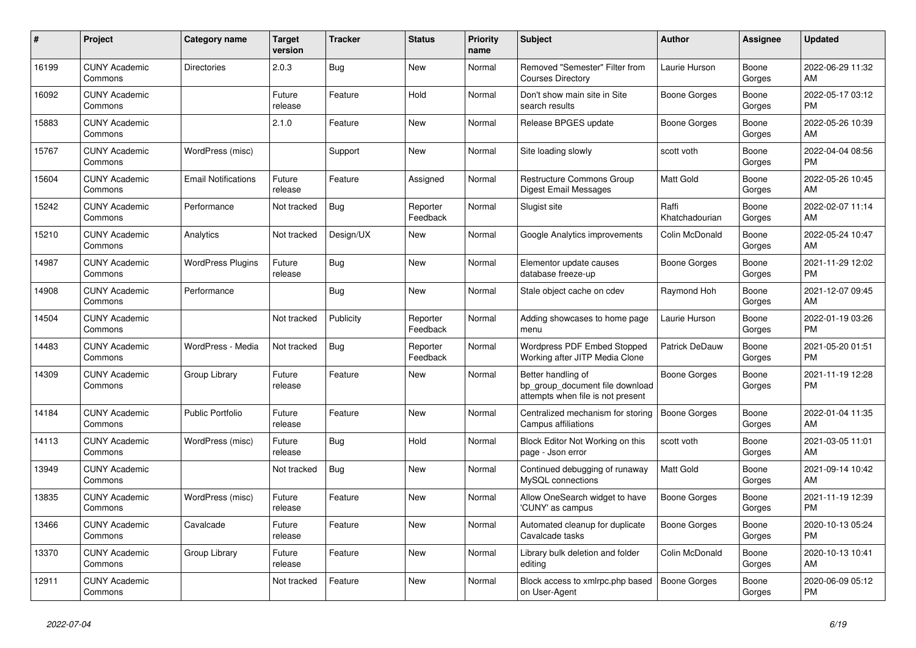| #     | Project                         | Category name              | <b>Target</b><br>version | Tracker    | <b>Status</b>        | <b>Priority</b><br>name | <b>Subject</b>                                                                             | <b>Author</b>           | Assignee        | <b>Updated</b>                |
|-------|---------------------------------|----------------------------|--------------------------|------------|----------------------|-------------------------|--------------------------------------------------------------------------------------------|-------------------------|-----------------|-------------------------------|
| 16199 | <b>CUNY Academic</b><br>Commons | <b>Directories</b>         | 2.0.3                    | Bug        | New                  | Normal                  | Removed "Semester" Filter from<br><b>Courses Directory</b>                                 | Laurie Hurson           | Boone<br>Gorges | 2022-06-29 11:32<br>AM        |
| 16092 | <b>CUNY Academic</b><br>Commons |                            | Future<br>release        | Feature    | Hold                 | Normal                  | Don't show main site in Site<br>search results                                             | Boone Gorges            | Boone<br>Gorges | 2022-05-17 03:12<br><b>PM</b> |
| 15883 | <b>CUNY Academic</b><br>Commons |                            | 2.1.0                    | Feature    | <b>New</b>           | Normal                  | Release BPGES update                                                                       | Boone Gorges            | Boone<br>Gorges | 2022-05-26 10:39<br>AM        |
| 15767 | <b>CUNY Academic</b><br>Commons | WordPress (misc)           |                          | Support    | <b>New</b>           | Normal                  | Site loading slowly                                                                        | scott voth              | Boone<br>Gorges | 2022-04-04 08:56<br><b>PM</b> |
| 15604 | <b>CUNY Academic</b><br>Commons | <b>Email Notifications</b> | Future<br>release        | Feature    | Assigned             | Normal                  | Restructure Commons Group<br>Digest Email Messages                                         | Matt Gold               | Boone<br>Gorges | 2022-05-26 10:45<br>AM        |
| 15242 | <b>CUNY Academic</b><br>Commons | Performance                | Not tracked              | <b>Bug</b> | Reporter<br>Feedback | Normal                  | Slugist site                                                                               | Raffi<br>Khatchadourian | Boone<br>Gorges | 2022-02-07 11:14<br>AM        |
| 15210 | <b>CUNY Academic</b><br>Commons | Analytics                  | Not tracked              | Design/UX  | <b>New</b>           | Normal                  | Google Analytics improvements                                                              | Colin McDonald          | Boone<br>Gorges | 2022-05-24 10:47<br>AM        |
| 14987 | <b>CUNY Academic</b><br>Commons | <b>WordPress Plugins</b>   | Future<br>release        | Bug        | New                  | Normal                  | Elementor update causes<br>database freeze-up                                              | Boone Gorges            | Boone<br>Gorges | 2021-11-29 12:02<br><b>PM</b> |
| 14908 | <b>CUNY Academic</b><br>Commons | Performance                |                          | Bug        | <b>New</b>           | Normal                  | Stale object cache on cdev                                                                 | Raymond Hoh             | Boone<br>Gorges | 2021-12-07 09:45<br>AM        |
| 14504 | <b>CUNY Academic</b><br>Commons |                            | Not tracked              | Publicity  | Reporter<br>Feedback | Normal                  | Adding showcases to home page<br>menu                                                      | Laurie Hurson           | Boone<br>Gorges | 2022-01-19 03:26<br><b>PM</b> |
| 14483 | <b>CUNY Academic</b><br>Commons | WordPress - Media          | Not tracked              | Bug        | Reporter<br>Feedback | Normal                  | Wordpress PDF Embed Stopped<br>Working after JITP Media Clone                              | <b>Patrick DeDauw</b>   | Boone<br>Gorges | 2021-05-20 01:51<br><b>PM</b> |
| 14309 | <b>CUNY Academic</b><br>Commons | Group Library              | Future<br>release        | Feature    | <b>New</b>           | Normal                  | Better handling of<br>bp_group_document file download<br>attempts when file is not present | Boone Gorges            | Boone<br>Gorges | 2021-11-19 12:28<br><b>PM</b> |
| 14184 | <b>CUNY Academic</b><br>Commons | <b>Public Portfolio</b>    | Future<br>release        | Feature    | <b>New</b>           | Normal                  | Centralized mechanism for storing<br>Campus affiliations                                   | Boone Gorges            | Boone<br>Gorges | 2022-01-04 11:35<br>AM        |
| 14113 | <b>CUNY Academic</b><br>Commons | WordPress (misc)           | Future<br>release        | <b>Bug</b> | Hold                 | Normal                  | Block Editor Not Working on this<br>page - Json error                                      | scott voth              | Boone<br>Gorges | 2021-03-05 11:01<br>AM        |
| 13949 | <b>CUNY Academic</b><br>Commons |                            | Not tracked              | <b>Bug</b> | <b>New</b>           | Normal                  | Continued debugging of runaway<br>MySQL connections                                        | <b>Matt Gold</b>        | Boone<br>Gorges | 2021-09-14 10:42<br>AM        |
| 13835 | <b>CUNY Academic</b><br>Commons | WordPress (misc)           | Future<br>release        | Feature    | <b>New</b>           | Normal                  | Allow OneSearch widget to have<br>'CUNY' as campus                                         | <b>Boone Gorges</b>     | Boone<br>Gorges | 2021-11-19 12:39<br><b>PM</b> |
| 13466 | <b>CUNY Academic</b><br>Commons | Cavalcade                  | Future<br>release        | Feature    | <b>New</b>           | Normal                  | Automated cleanup for duplicate<br>Cavalcade tasks                                         | Boone Gorges            | Boone<br>Gorges | 2020-10-13 05:24<br><b>PM</b> |
| 13370 | <b>CUNY Academic</b><br>Commons | Group Library              | Future<br>release        | Feature    | <b>New</b>           | Normal                  | Library bulk deletion and folder<br>editing                                                | Colin McDonald          | Boone<br>Gorges | 2020-10-13 10:41<br>AM        |
| 12911 | <b>CUNY Academic</b><br>Commons |                            | Not tracked              | Feature    | <b>New</b>           | Normal                  | Block access to xmlrpc.php based<br>on User-Agent                                          | Boone Gorges            | Boone<br>Gorges | 2020-06-09 05:12<br><b>PM</b> |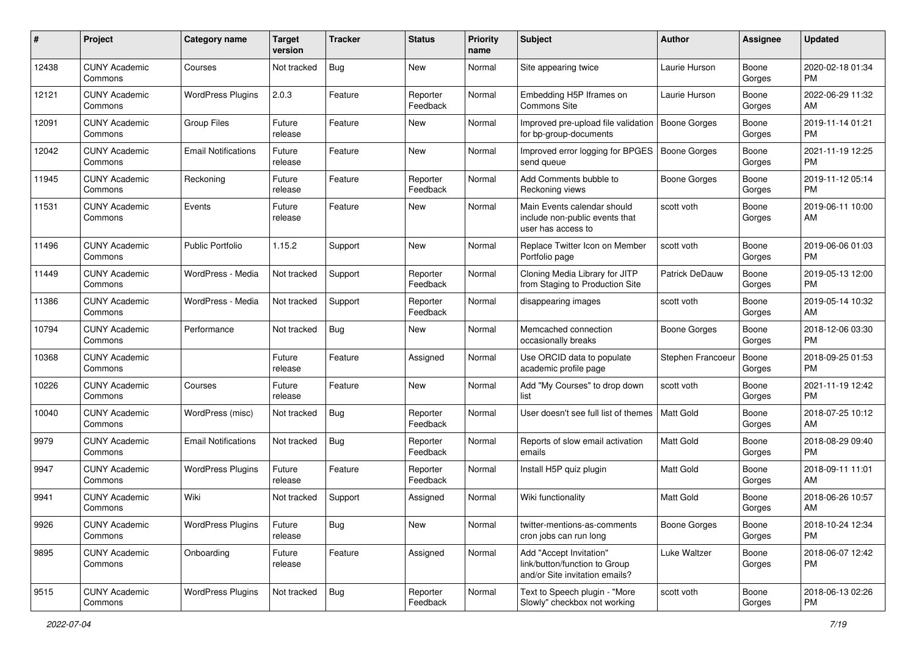| #     | Project                         | <b>Category name</b>       | <b>Target</b><br>version | <b>Tracker</b> | <b>Status</b>        | <b>Priority</b><br>name | <b>Subject</b>                                                                             | <b>Author</b>       | <b>Assignee</b> | <b>Updated</b>                |
|-------|---------------------------------|----------------------------|--------------------------|----------------|----------------------|-------------------------|--------------------------------------------------------------------------------------------|---------------------|-----------------|-------------------------------|
| 12438 | <b>CUNY Academic</b><br>Commons | Courses                    | Not tracked              | <b>Bug</b>     | New                  | Normal                  | Site appearing twice                                                                       | Laurie Hurson       | Boone<br>Gorges | 2020-02-18 01:34<br>PM.       |
| 12121 | <b>CUNY Academic</b><br>Commons | <b>WordPress Plugins</b>   | 2.0.3                    | Feature        | Reporter<br>Feedback | Normal                  | Embedding H5P Iframes on<br>Commons Site                                                   | Laurie Hurson       | Boone<br>Gorges | 2022-06-29 11:32<br>AM        |
| 12091 | <b>CUNY Academic</b><br>Commons | <b>Group Files</b>         | Future<br>release        | Feature        | New                  | Normal                  | Improved pre-upload file validation<br>for bp-group-documents                              | <b>Boone Gorges</b> | Boone<br>Gorges | 2019-11-14 01:21<br><b>PM</b> |
| 12042 | <b>CUNY Academic</b><br>Commons | <b>Email Notifications</b> | Future<br>release        | Feature        | New                  | Normal                  | Improved error logging for BPGES<br>send queue                                             | Boone Gorges        | Boone<br>Gorges | 2021-11-19 12:25<br><b>PM</b> |
| 11945 | <b>CUNY Academic</b><br>Commons | Reckoning                  | Future<br>release        | Feature        | Reporter<br>Feedback | Normal                  | Add Comments bubble to<br>Reckoning views                                                  | Boone Gorges        | Boone<br>Gorges | 2019-11-12 05:14<br><b>PM</b> |
| 11531 | <b>CUNY Academic</b><br>Commons | Events                     | Future<br>release        | Feature        | New                  | Normal                  | Main Events calendar should<br>include non-public events that<br>user has access to        | scott voth          | Boone<br>Gorges | 2019-06-11 10:00<br>AM        |
| 11496 | <b>CUNY Academic</b><br>Commons | <b>Public Portfolio</b>    | 1.15.2                   | Support        | New                  | Normal                  | Replace Twitter Icon on Member<br>Portfolio page                                           | scott voth          | Boone<br>Gorges | 2019-06-06 01:03<br><b>PM</b> |
| 11449 | <b>CUNY Academic</b><br>Commons | WordPress - Media          | Not tracked              | Support        | Reporter<br>Feedback | Normal                  | Cloning Media Library for JITP<br>from Staging to Production Site                          | Patrick DeDauw      | Boone<br>Gorges | 2019-05-13 12:00<br><b>PM</b> |
| 11386 | <b>CUNY Academic</b><br>Commons | WordPress - Media          | Not tracked              | Support        | Reporter<br>Feedback | Normal                  | disappearing images                                                                        | scott voth          | Boone<br>Gorges | 2019-05-14 10:32<br>AM        |
| 10794 | <b>CUNY Academic</b><br>Commons | Performance                | Not tracked              | Bug            | New                  | Normal                  | Memcached connection<br>occasionally breaks                                                | <b>Boone Gorges</b> | Boone<br>Gorges | 2018-12-06 03:30<br><b>PM</b> |
| 10368 | <b>CUNY Academic</b><br>Commons |                            | Future<br>release        | Feature        | Assigned             | Normal                  | Use ORCID data to populate<br>academic profile page                                        | Stephen Francoeu    | Boone<br>Gorges | 2018-09-25 01:53<br><b>PM</b> |
| 10226 | <b>CUNY Academic</b><br>Commons | Courses                    | Future<br>release        | Feature        | New                  | Normal                  | Add "My Courses" to drop down<br>list                                                      | scott voth          | Boone<br>Gorges | 2021-11-19 12:42<br><b>PM</b> |
| 10040 | <b>CUNY Academic</b><br>Commons | WordPress (misc)           | Not tracked              | Bug            | Reporter<br>Feedback | Normal                  | User doesn't see full list of themes                                                       | Matt Gold           | Boone<br>Gorges | 2018-07-25 10:12<br>AM        |
| 9979  | <b>CUNY Academic</b><br>Commons | <b>Email Notifications</b> | Not tracked              | Bug            | Reporter<br>Feedback | Normal                  | Reports of slow email activation<br>emails                                                 | <b>Matt Gold</b>    | Boone<br>Gorges | 2018-08-29 09:40<br><b>PM</b> |
| 9947  | <b>CUNY Academic</b><br>Commons | <b>WordPress Plugins</b>   | Future<br>release        | Feature        | Reporter<br>Feedback | Normal                  | Install H5P quiz plugin                                                                    | <b>Matt Gold</b>    | Boone<br>Gorges | 2018-09-11 11:01<br>AM        |
| 9941  | <b>CUNY Academic</b><br>Commons | Wiki                       | Not tracked              | Support        | Assigned             | Normal                  | Wiki functionality                                                                         | <b>Matt Gold</b>    | Boone<br>Gorges | 2018-06-26 10:57<br>AM        |
| 9926  | <b>CUNY Academic</b><br>Commons | <b>WordPress Plugins</b>   | Future<br>release        | <b>Bug</b>     | New                  | Normal                  | twitter-mentions-as-comments<br>cron jobs can run long                                     | <b>Boone Gorges</b> | Boone<br>Gorges | 2018-10-24 12:34<br><b>PM</b> |
| 9895  | <b>CUNY Academic</b><br>Commons | Onboarding                 | Future<br>release        | Feature        | Assigned             | Normal                  | Add "Accept Invitation"<br>link/button/function to Group<br>and/or Site invitation emails? | Luke Waltzer        | Boone<br>Gorges | 2018-06-07 12:42<br>PM        |
| 9515  | <b>CUNY Academic</b><br>Commons | <b>WordPress Plugins</b>   | Not tracked              | Bug            | Reporter<br>Feedback | Normal                  | Text to Speech plugin - "More<br>Slowly" checkbox not working                              | scott voth          | Boone<br>Gorges | 2018-06-13 02:26<br>PM        |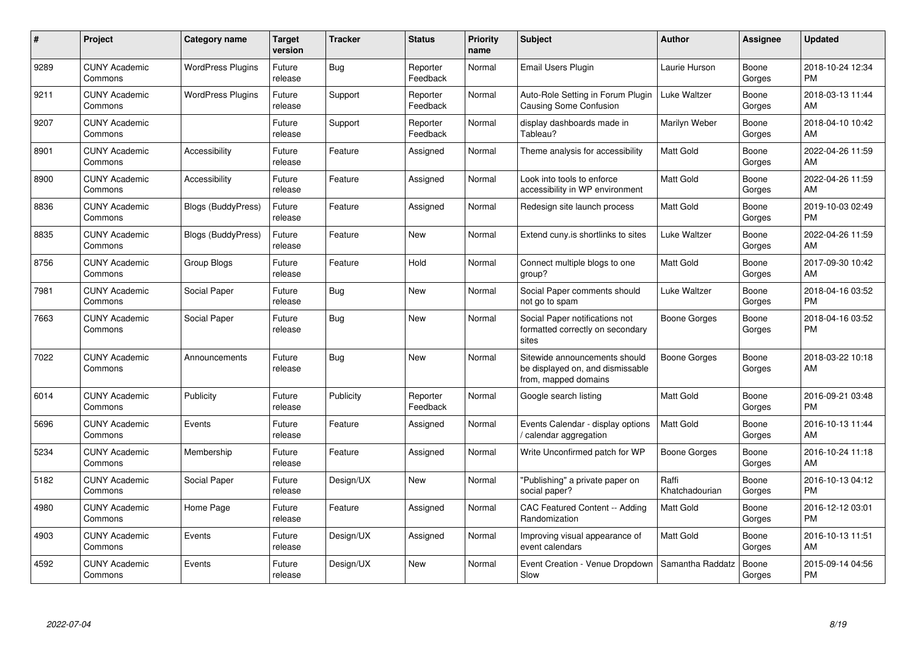| #    | Project                         | <b>Category name</b>      | <b>Target</b><br>version | <b>Tracker</b> | <b>Status</b>        | <b>Priority</b><br>name | <b>Subject</b>                                                                            | <b>Author</b>           | Assignee        | <b>Updated</b>                |
|------|---------------------------------|---------------------------|--------------------------|----------------|----------------------|-------------------------|-------------------------------------------------------------------------------------------|-------------------------|-----------------|-------------------------------|
| 9289 | <b>CUNY Academic</b><br>Commons | <b>WordPress Plugins</b>  | Future<br>release        | <b>Bug</b>     | Reporter<br>Feedback | Normal                  | Email Users Plugin                                                                        | Laurie Hurson           | Boone<br>Gorges | 2018-10-24 12:34<br><b>PM</b> |
| 9211 | <b>CUNY Academic</b><br>Commons | <b>WordPress Plugins</b>  | Future<br>release        | Support        | Reporter<br>Feedback | Normal                  | Auto-Role Setting in Forum Plugin<br><b>Causing Some Confusion</b>                        | Luke Waltzer            | Boone<br>Gorges | 2018-03-13 11:44<br>AM        |
| 9207 | <b>CUNY Academic</b><br>Commons |                           | Future<br>release        | Support        | Reporter<br>Feedback | Normal                  | display dashboards made in<br>Tableau?                                                    | Marilyn Weber           | Boone<br>Gorges | 2018-04-10 10:42<br>AM        |
| 8901 | <b>CUNY Academic</b><br>Commons | Accessibility             | Future<br>release        | Feature        | Assigned             | Normal                  | Theme analysis for accessibility                                                          | <b>Matt Gold</b>        | Boone<br>Gorges | 2022-04-26 11:59<br>AM        |
| 8900 | <b>CUNY Academic</b><br>Commons | Accessibility             | Future<br>release        | Feature        | Assigned             | Normal                  | Look into tools to enforce<br>accessibility in WP environment                             | <b>Matt Gold</b>        | Boone<br>Gorges | 2022-04-26 11:59<br>AM        |
| 8836 | <b>CUNY Academic</b><br>Commons | <b>Blogs (BuddyPress)</b> | Future<br>release        | Feature        | Assigned             | Normal                  | Redesign site launch process                                                              | <b>Matt Gold</b>        | Boone<br>Gorges | 2019-10-03 02:49<br><b>PM</b> |
| 8835 | <b>CUNY Academic</b><br>Commons | <b>Blogs (BuddyPress)</b> | Future<br>release        | Feature        | <b>New</b>           | Normal                  | Extend cuny.is shortlinks to sites                                                        | Luke Waltzer            | Boone<br>Gorges | 2022-04-26 11:59<br>AM        |
| 8756 | <b>CUNY Academic</b><br>Commons | Group Blogs               | Future<br>release        | Feature        | Hold                 | Normal                  | Connect multiple blogs to one<br>group?                                                   | Matt Gold               | Boone<br>Gorges | 2017-09-30 10:42<br>AM        |
| 7981 | <b>CUNY Academic</b><br>Commons | Social Paper              | Future<br>release        | <b>Bug</b>     | <b>New</b>           | Normal                  | Social Paper comments should<br>not go to spam                                            | Luke Waltzer            | Boone<br>Gorges | 2018-04-16 03:52<br><b>PM</b> |
| 7663 | <b>CUNY Academic</b><br>Commons | Social Paper              | Future<br>release        | <b>Bug</b>     | <b>New</b>           | Normal                  | Social Paper notifications not<br>formatted correctly on secondary<br>sites               | Boone Gorges            | Boone<br>Gorges | 2018-04-16 03:52<br><b>PM</b> |
| 7022 | <b>CUNY Academic</b><br>Commons | Announcements             | Future<br>release        | Bug            | New                  | Normal                  | Sitewide announcements should<br>be displayed on, and dismissable<br>from, mapped domains | Boone Gorges            | Boone<br>Gorges | 2018-03-22 10:18<br>AM        |
| 6014 | <b>CUNY Academic</b><br>Commons | Publicity                 | Future<br>release        | Publicity      | Reporter<br>Feedback | Normal                  | Google search listing                                                                     | <b>Matt Gold</b>        | Boone<br>Gorges | 2016-09-21 03:48<br><b>PM</b> |
| 5696 | <b>CUNY Academic</b><br>Commons | Events                    | Future<br>release        | Feature        | Assigned             | Normal                  | Events Calendar - display options<br>calendar aggregation                                 | <b>Matt Gold</b>        | Boone<br>Gorges | 2016-10-13 11:44<br>AM        |
| 5234 | <b>CUNY Academic</b><br>Commons | Membership                | Future<br>release        | Feature        | Assigned             | Normal                  | Write Unconfirmed patch for WP                                                            | Boone Gorges            | Boone<br>Gorges | 2016-10-24 11:18<br>AM        |
| 5182 | <b>CUNY Academic</b><br>Commons | Social Paper              | Future<br>release        | Design/UX      | <b>New</b>           | Normal                  | "Publishing" a private paper on<br>social paper?                                          | Raffi<br>Khatchadourian | Boone<br>Gorges | 2016-10-13 04:12<br><b>PM</b> |
| 4980 | <b>CUNY Academic</b><br>Commons | Home Page                 | Future<br>release        | Feature        | Assigned             | Normal                  | <b>CAC Featured Content -- Adding</b><br>Randomization                                    | Matt Gold               | Boone<br>Gorges | 2016-12-12 03:01<br><b>PM</b> |
| 4903 | <b>CUNY Academic</b><br>Commons | Events                    | Future<br>release        | Design/UX      | Assigned             | Normal                  | Improving visual appearance of<br>event calendars                                         | <b>Matt Gold</b>        | Boone<br>Gorges | 2016-10-13 11:51<br>AM        |
| 4592 | CUNY Academic<br>Commons        | Events                    | Future<br>release        | Design/UX      | <b>New</b>           | Normal                  | Event Creation - Venue Dropdown<br>Slow                                                   | Samantha Raddatz        | Boone<br>Gorges | 2015-09-14 04:56<br><b>PM</b> |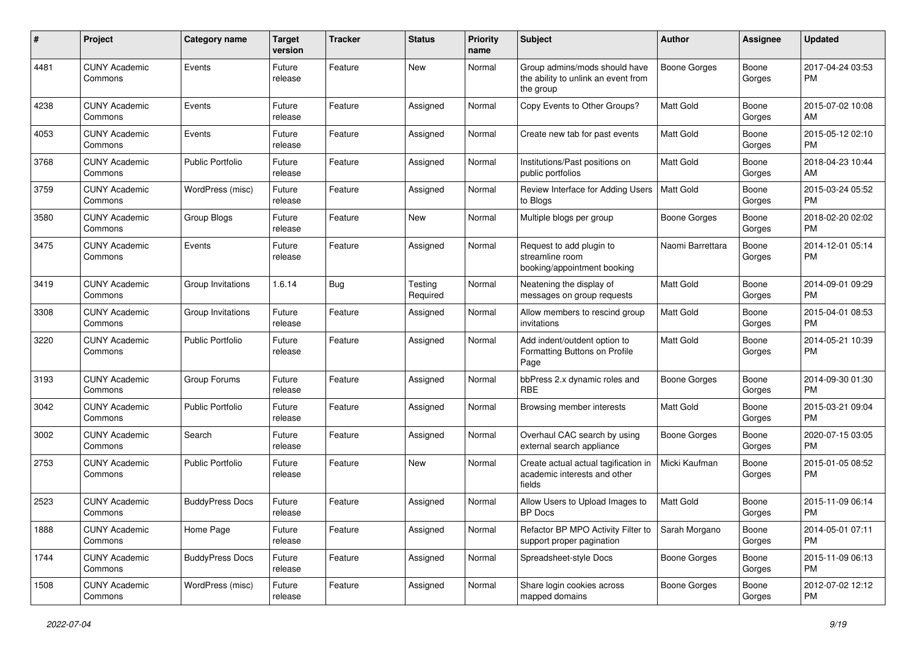| #    | Project                         | Category name           | <b>Target</b><br>version | Tracker | <b>Status</b>       | <b>Priority</b><br>name | Subject                                                                           | Author              | Assignee        | <b>Updated</b>                |
|------|---------------------------------|-------------------------|--------------------------|---------|---------------------|-------------------------|-----------------------------------------------------------------------------------|---------------------|-----------------|-------------------------------|
| 4481 | <b>CUNY Academic</b><br>Commons | Events                  | Future<br>release        | Feature | <b>New</b>          | Normal                  | Group admins/mods should have<br>the ability to unlink an event from<br>the group | <b>Boone Gorges</b> | Boone<br>Gorges | 2017-04-24 03:53<br><b>PM</b> |
| 4238 | <b>CUNY Academic</b><br>Commons | Events                  | Future<br>release        | Feature | Assigned            | Normal                  | Copy Events to Other Groups?                                                      | <b>Matt Gold</b>    | Boone<br>Gorges | 2015-07-02 10:08<br>AM        |
| 4053 | <b>CUNY Academic</b><br>Commons | Events                  | Future<br>release        | Feature | Assigned            | Normal                  | Create new tab for past events                                                    | Matt Gold           | Boone<br>Gorges | 2015-05-12 02:10<br><b>PM</b> |
| 3768 | <b>CUNY Academic</b><br>Commons | <b>Public Portfolio</b> | Future<br>release        | Feature | Assigned            | Normal                  | Institutions/Past positions on<br>public portfolios                               | Matt Gold           | Boone<br>Gorges | 2018-04-23 10:44<br>AM        |
| 3759 | <b>CUNY Academic</b><br>Commons | WordPress (misc)        | Future<br>release        | Feature | Assigned            | Normal                  | Review Interface for Adding Users<br>to Blogs                                     | Matt Gold           | Boone<br>Gorges | 2015-03-24 05:52<br><b>PM</b> |
| 3580 | <b>CUNY Academic</b><br>Commons | Group Blogs             | Future<br>release        | Feature | <b>New</b>          | Normal                  | Multiple blogs per group                                                          | <b>Boone Gorges</b> | Boone<br>Gorges | 2018-02-20 02:02<br><b>PM</b> |
| 3475 | <b>CUNY Academic</b><br>Commons | Events                  | Future<br>release        | Feature | Assigned            | Normal                  | Request to add plugin to<br>streamline room<br>booking/appointment booking        | Naomi Barrettara    | Boone<br>Gorges | 2014-12-01 05:14<br><b>PM</b> |
| 3419 | <b>CUNY Academic</b><br>Commons | Group Invitations       | 1.6.14                   | Bug     | Testing<br>Required | Normal                  | Neatening the display of<br>messages on group requests                            | Matt Gold           | Boone<br>Gorges | 2014-09-01 09:29<br><b>PM</b> |
| 3308 | <b>CUNY Academic</b><br>Commons | Group Invitations       | Future<br>release        | Feature | Assigned            | Normal                  | Allow members to rescind group<br>invitations                                     | <b>Matt Gold</b>    | Boone<br>Gorges | 2015-04-01 08:53<br><b>PM</b> |
| 3220 | <b>CUNY Academic</b><br>Commons | <b>Public Portfolio</b> | Future<br>release        | Feature | Assigned            | Normal                  | Add indent/outdent option to<br>Formatting Buttons on Profile<br>Page             | <b>Matt Gold</b>    | Boone<br>Gorges | 2014-05-21 10:39<br>PM        |
| 3193 | <b>CUNY Academic</b><br>Commons | Group Forums            | Future<br>release        | Feature | Assigned            | Normal                  | bbPress 2.x dynamic roles and<br><b>RBE</b>                                       | <b>Boone Gorges</b> | Boone<br>Gorges | 2014-09-30 01:30<br><b>PM</b> |
| 3042 | <b>CUNY Academic</b><br>Commons | Public Portfolio        | Future<br>release        | Feature | Assigned            | Normal                  | Browsing member interests                                                         | <b>Matt Gold</b>    | Boone<br>Gorges | 2015-03-21 09:04<br><b>PM</b> |
| 3002 | <b>CUNY Academic</b><br>Commons | Search                  | Future<br>release        | Feature | Assigned            | Normal                  | Overhaul CAC search by using<br>external search appliance                         | <b>Boone Gorges</b> | Boone<br>Gorges | 2020-07-15 03:05<br><b>PM</b> |
| 2753 | <b>CUNY Academic</b><br>Commons | Public Portfolio        | Future<br>release        | Feature | <b>New</b>          | Normal                  | Create actual actual tagification in<br>academic interests and other<br>fields    | Micki Kaufman       | Boone<br>Gorges | 2015-01-05 08:52<br><b>PM</b> |
| 2523 | <b>CUNY Academic</b><br>Commons | <b>BuddyPress Docs</b>  | Future<br>release        | Feature | Assigned            | Normal                  | Allow Users to Upload Images to<br><b>BP</b> Docs                                 | <b>Matt Gold</b>    | Boone<br>Gorges | 2015-11-09 06:14<br><b>PM</b> |
| 1888 | <b>CUNY Academic</b><br>Commons | Home Page               | Future<br>release        | Feature | Assigned            | Normal                  | Refactor BP MPO Activity Filter to<br>support proper pagination                   | Sarah Morgano       | Boone<br>Gorges | 2014-05-01 07:11<br>PM.       |
| 1744 | <b>CUNY Academic</b><br>Commons | <b>BuddyPress Docs</b>  | Future<br>release        | Feature | Assigned            | Normal                  | Spreadsheet-style Docs                                                            | Boone Gorges        | Boone<br>Gorges | 2015-11-09 06:13<br><b>PM</b> |
| 1508 | <b>CUNY Academic</b><br>Commons | WordPress (misc)        | Future<br>release        | Feature | Assigned            | Normal                  | Share login cookies across<br>mapped domains                                      | Boone Gorges        | Boone<br>Gorges | 2012-07-02 12:12<br><b>PM</b> |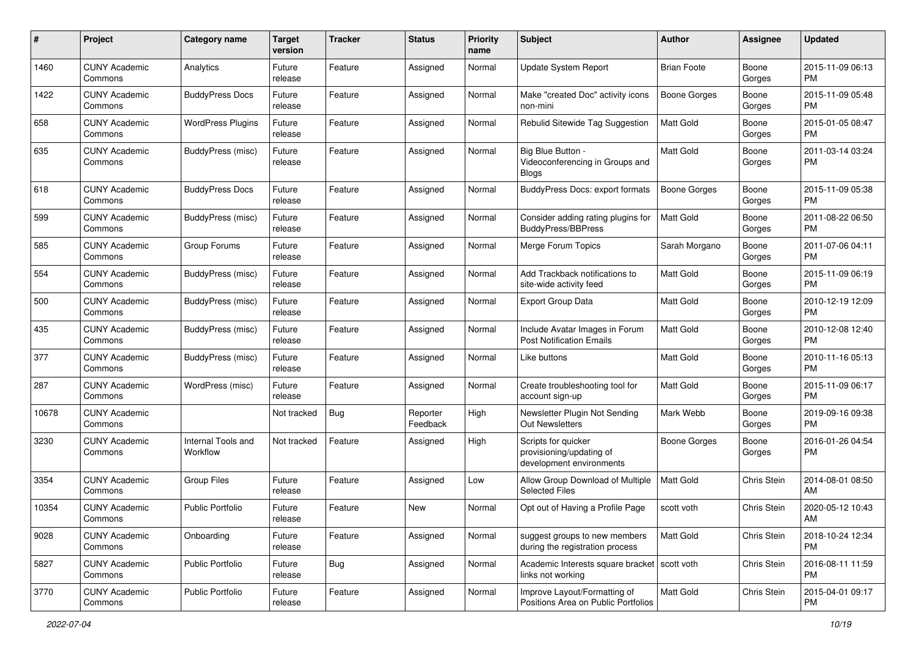| #     | Project                         | <b>Category name</b>           | <b>Target</b><br>version | <b>Tracker</b> | <b>Status</b>        | <b>Priority</b><br>name | <b>Subject</b>                                                              | Author              | <b>Assignee</b> | <b>Updated</b>                |
|-------|---------------------------------|--------------------------------|--------------------------|----------------|----------------------|-------------------------|-----------------------------------------------------------------------------|---------------------|-----------------|-------------------------------|
| 1460  | <b>CUNY Academic</b><br>Commons | Analytics                      | Future<br>release        | Feature        | Assigned             | Normal                  | Update System Report                                                        | <b>Brian Foote</b>  | Boone<br>Gorges | 2015-11-09 06:13<br>PM.       |
| 1422  | <b>CUNY Academic</b><br>Commons | <b>BuddyPress Docs</b>         | Future<br>release        | Feature        | Assigned             | Normal                  | Make "created Doc" activity icons<br>non-mini                               | <b>Boone Gorges</b> | Boone<br>Gorges | 2015-11-09 05:48<br><b>PM</b> |
| 658   | <b>CUNY Academic</b><br>Commons | <b>WordPress Plugins</b>       | Future<br>release        | Feature        | Assigned             | Normal                  | Rebulid Sitewide Tag Suggestion                                             | Matt Gold           | Boone<br>Gorges | 2015-01-05 08:47<br><b>PM</b> |
| 635   | <b>CUNY Academic</b><br>Commons | BuddyPress (misc)              | Future<br>release        | Feature        | Assigned             | Normal                  | Big Blue Button -<br>Videoconferencing in Groups and<br><b>Blogs</b>        | <b>Matt Gold</b>    | Boone<br>Gorges | 2011-03-14 03:24<br><b>PM</b> |
| 618   | <b>CUNY Academic</b><br>Commons | <b>BuddyPress Docs</b>         | Future<br>release        | Feature        | Assigned             | Normal                  | <b>BuddyPress Docs: export formats</b>                                      | Boone Gorges        | Boone<br>Gorges | 2015-11-09 05:38<br>PM        |
| 599   | <b>CUNY Academic</b><br>Commons | BuddyPress (misc)              | Future<br>release        | Feature        | Assigned             | Normal                  | Consider adding rating plugins for<br><b>BuddyPress/BBPress</b>             | <b>Matt Gold</b>    | Boone<br>Gorges | 2011-08-22 06:50<br><b>PM</b> |
| 585   | <b>CUNY Academic</b><br>Commons | Group Forums                   | Future<br>release        | Feature        | Assigned             | Normal                  | Merge Forum Topics                                                          | Sarah Morgano       | Boone<br>Gorges | 2011-07-06 04:11<br><b>PM</b> |
| 554   | <b>CUNY Academic</b><br>Commons | BuddyPress (misc)              | Future<br>release        | Feature        | Assigned             | Normal                  | Add Trackback notifications to<br>site-wide activity feed                   | Matt Gold           | Boone<br>Gorges | 2015-11-09 06:19<br><b>PM</b> |
| 500   | <b>CUNY Academic</b><br>Commons | <b>BuddyPress</b> (misc)       | Future<br>release        | Feature        | Assigned             | Normal                  | <b>Export Group Data</b>                                                    | <b>Matt Gold</b>    | Boone<br>Gorges | 2010-12-19 12:09<br>PM.       |
| 435   | <b>CUNY Academic</b><br>Commons | <b>BuddyPress</b> (misc)       | Future<br>release        | Feature        | Assigned             | Normal                  | Include Avatar Images in Forum<br><b>Post Notification Emails</b>           | <b>Matt Gold</b>    | Boone<br>Gorges | 2010-12-08 12:40<br><b>PM</b> |
| 377   | <b>CUNY Academic</b><br>Commons | BuddyPress (misc)              | Future<br>release        | Feature        | Assigned             | Normal                  | Like buttons                                                                | Matt Gold           | Boone<br>Gorges | 2010-11-16 05:13<br><b>PM</b> |
| 287   | <b>CUNY Academic</b><br>Commons | WordPress (misc)               | Future<br>release        | Feature        | Assigned             | Normal                  | Create troubleshooting tool for<br>account sign-up                          | Matt Gold           | Boone<br>Gorges | 2015-11-09 06:17<br><b>PM</b> |
| 10678 | <b>CUNY Academic</b><br>Commons |                                | Not tracked              | Bug            | Reporter<br>Feedback | High                    | Newsletter Plugin Not Sending<br>Out Newsletters                            | Mark Webb           | Boone<br>Gorges | 2019-09-16 09:38<br><b>PM</b> |
| 3230  | <b>CUNY Academic</b><br>Commons | Internal Tools and<br>Workflow | Not tracked              | Feature        | Assigned             | High                    | Scripts for quicker<br>provisioning/updating of<br>development environments | Boone Gorges        | Boone<br>Gorges | 2016-01-26 04:54<br><b>PM</b> |
| 3354  | <b>CUNY Academic</b><br>Commons | <b>Group Files</b>             | Future<br>release        | Feature        | Assigned             | Low                     | Allow Group Download of Multiple<br><b>Selected Files</b>                   | Matt Gold           | Chris Stein     | 2014-08-01 08:50<br>AM        |
| 10354 | <b>CUNY Academic</b><br>Commons | <b>Public Portfolio</b>        | Future<br>release        | Feature        | New                  | Normal                  | Opt out of Having a Profile Page                                            | scott voth          | Chris Stein     | 2020-05-12 10:43<br>AM        |
| 9028  | <b>CUNY Academic</b><br>Commons | Onboarding                     | Future<br>release        | Feature        | Assigned             | Normal                  | suggest groups to new members<br>during the registration process            | Matt Gold           | Chris Stein     | 2018-10-24 12:34<br>PM        |
| 5827  | <b>CUNY Academic</b><br>Commons | <b>Public Portfolio</b>        | Future<br>release        | Bug            | Assigned             | Normal                  | Academic Interests square bracket   scott voth<br>links not working         |                     | Chris Stein     | 2016-08-11 11:59<br><b>PM</b> |
| 3770  | <b>CUNY Academic</b><br>Commons | Public Portfolio               | Future<br>release        | Feature        | Assigned             | Normal                  | Improve Layout/Formatting of<br>Positions Area on Public Portfolios         | Matt Gold           | Chris Stein     | 2015-04-01 09:17<br>PM        |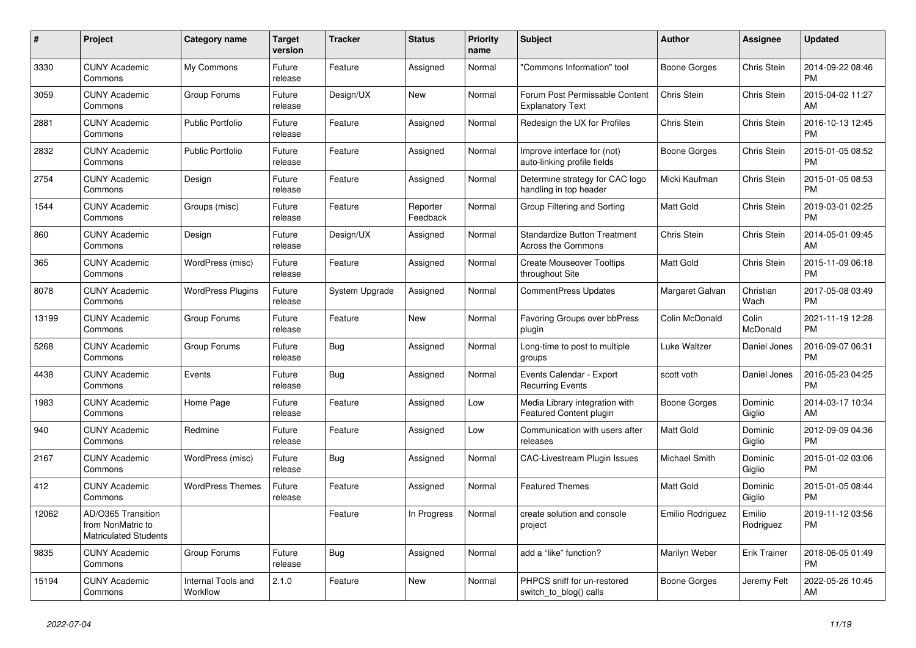| $\pmb{\#}$ | <b>Project</b>                                                          | <b>Category name</b>           | <b>Target</b><br>version | <b>Tracker</b> | <b>Status</b>        | Priority<br>name | <b>Subject</b>                                                   | <b>Author</b>    | Assignee            | <b>Updated</b>                |
|------------|-------------------------------------------------------------------------|--------------------------------|--------------------------|----------------|----------------------|------------------|------------------------------------------------------------------|------------------|---------------------|-------------------------------|
| 3330       | <b>CUNY Academic</b><br>Commons                                         | My Commons                     | Future<br>release        | Feature        | Assigned             | Normal           | "Commons Information" tool                                       | Boone Gorges     | Chris Stein         | 2014-09-22 08:46<br><b>PM</b> |
| 3059       | <b>CUNY Academic</b><br>Commons                                         | Group Forums                   | Future<br>release        | Design/UX      | New                  | Normal           | Forum Post Permissable Content<br><b>Explanatory Text</b>        | Chris Stein      | Chris Stein         | 2015-04-02 11:27<br>AM        |
| 2881       | <b>CUNY Academic</b><br>Commons                                         | <b>Public Portfolio</b>        | Future<br>release        | Feature        | Assigned             | Normal           | Redesign the UX for Profiles                                     | Chris Stein      | Chris Stein         | 2016-10-13 12:45<br><b>PM</b> |
| 2832       | <b>CUNY Academic</b><br>Commons                                         | <b>Public Portfolio</b>        | Future<br>release        | Feature        | Assigned             | Normal           | Improve interface for (not)<br>auto-linking profile fields       | Boone Gorges     | Chris Stein         | 2015-01-05 08:52<br><b>PM</b> |
| 2754       | <b>CUNY Academic</b><br>Commons                                         | Design                         | Future<br>release        | Feature        | Assigned             | Normal           | Determine strategy for CAC logo<br>handling in top header        | Micki Kaufman    | Chris Stein         | 2015-01-05 08:53<br><b>PM</b> |
| 1544       | <b>CUNY Academic</b><br>Commons                                         | Groups (misc)                  | Future<br>release        | Feature        | Reporter<br>Feedback | Normal           | Group Filtering and Sorting                                      | Matt Gold        | Chris Stein         | 2019-03-01 02:25<br><b>PM</b> |
| 860        | <b>CUNY Academic</b><br>Commons                                         | Design                         | Future<br>release        | Design/UX      | Assigned             | Normal           | <b>Standardize Button Treatment</b><br><b>Across the Commons</b> | Chris Stein      | Chris Stein         | 2014-05-01 09:45<br>AM        |
| 365        | <b>CUNY Academic</b><br>Commons                                         | WordPress (misc)               | Future<br>release        | Feature        | Assigned             | Normal           | <b>Create Mouseover Tooltips</b><br>throughout Site              | Matt Gold        | Chris Stein         | 2015-11-09 06:18<br><b>PM</b> |
| 8078       | <b>CUNY Academic</b><br>Commons                                         | <b>WordPress Plugins</b>       | Future<br>release        | System Upgrade | Assigned             | Normal           | <b>CommentPress Updates</b>                                      | Margaret Galvan  | Christian<br>Wach   | 2017-05-08 03:49<br><b>PM</b> |
| 13199      | <b>CUNY Academic</b><br>Commons                                         | Group Forums                   | Future<br>release        | Feature        | <b>New</b>           | Normal           | Favoring Groups over bbPress<br>plugin                           | Colin McDonald   | Colin<br>McDonald   | 2021-11-19 12:28<br><b>PM</b> |
| 5268       | <b>CUNY Academic</b><br>Commons                                         | Group Forums                   | Future<br>release        | Bug            | Assigned             | Normal           | Long-time to post to multiple<br>groups                          | Luke Waltzer     | Daniel Jones        | 2016-09-07 06:31<br><b>PM</b> |
| 4438       | <b>CUNY Academic</b><br>Commons                                         | Events                         | Future<br>release        | Bug            | Assigned             | Normal           | Events Calendar - Export<br><b>Recurring Events</b>              | scott voth       | Daniel Jones        | 2016-05-23 04:25<br><b>PM</b> |
| 1983       | <b>CUNY Academic</b><br>Commons                                         | Home Page                      | Future<br>release        | Feature        | Assigned             | Low              | Media Library integration with<br>Featured Content plugin        | Boone Gorges     | Dominic<br>Giglio   | 2014-03-17 10:34<br>AM        |
| 940        | <b>CUNY Academic</b><br>Commons                                         | Redmine                        | Future<br>release        | Feature        | Assigned             | Low              | Communication with users after<br>releases                       | <b>Matt Gold</b> | Dominic<br>Giglio   | 2012-09-09 04:36<br><b>PM</b> |
| 2167       | <b>CUNY Academic</b><br>Commons                                         | WordPress (misc)               | Future<br>release        | Bug            | Assigned             | Normal           | CAC-Livestream Plugin Issues                                     | Michael Smith    | Dominic<br>Giglio   | 2015-01-02 03:06<br><b>PM</b> |
| 412        | <b>CUNY Academic</b><br>Commons                                         | <b>WordPress Themes</b>        | Future<br>release        | Feature        | Assigned             | Normal           | <b>Featured Themes</b>                                           | <b>Matt Gold</b> | Dominic<br>Giglio   | 2015-01-05 08:44<br><b>PM</b> |
| 12062      | AD/O365 Transition<br>from NonMatric to<br><b>Matriculated Students</b> |                                |                          | Feature        | In Progress          | Normal           | create solution and console<br>project                           | Emilio Rodriguez | Emilio<br>Rodriguez | 2019-11-12 03:56<br><b>PM</b> |
| 9835       | <b>CUNY Academic</b><br>Commons                                         | Group Forums                   | Future<br>release        | Bug            | Assigned             | Normal           | add a "like" function?                                           | Marilyn Weber    | <b>Erik Trainer</b> | 2018-06-05 01:49<br><b>PM</b> |
| 15194      | CUNY Academic<br>Commons                                                | Internal Tools and<br>Workflow | 2.1.0                    | Feature        | <b>New</b>           | Normal           | PHPCS sniff for un-restored<br>switch_to_blog() calls            | Boone Gorges     | Jeremy Felt         | 2022-05-26 10:45<br>AM        |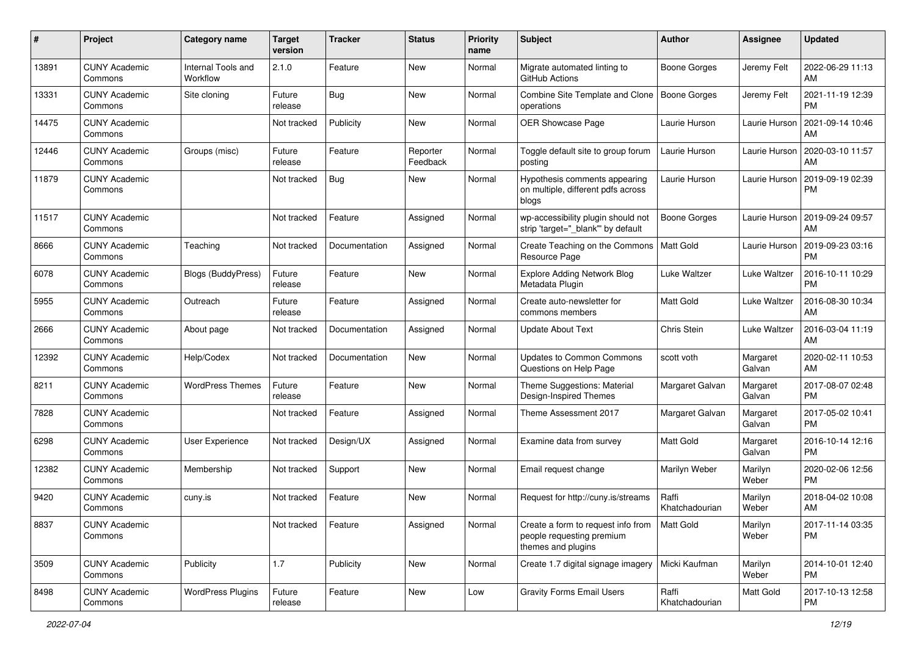| #     | Project                         | <b>Category name</b>           | <b>Target</b><br>version | <b>Tracker</b> | <b>Status</b>        | <b>Priority</b><br>name | <b>Subject</b>                                                                        | <b>Author</b>           | <b>Assignee</b>    | <b>Updated</b>                |
|-------|---------------------------------|--------------------------------|--------------------------|----------------|----------------------|-------------------------|---------------------------------------------------------------------------------------|-------------------------|--------------------|-------------------------------|
| 13891 | <b>CUNY Academic</b><br>Commons | Internal Tools and<br>Workflow | 2.1.0                    | Feature        | New                  | Normal                  | Migrate automated linting to<br>GitHub Actions                                        | Boone Gorges            | Jeremy Felt        | 2022-06-29 11:13<br>AM.       |
| 13331 | <b>CUNY Academic</b><br>Commons | Site cloning                   | Future<br>release        | Bug            | New                  | Normal                  | Combine Site Template and Clone<br>operations                                         | Boone Gorges            | Jeremy Felt        | 2021-11-19 12:39<br><b>PM</b> |
| 14475 | <b>CUNY Academic</b><br>Commons |                                | Not tracked              | Publicity      | New                  | Normal                  | OER Showcase Page                                                                     | Laurie Hurson           | Laurie Hurson      | 2021-09-14 10:46<br>AM        |
| 12446 | <b>CUNY Academic</b><br>Commons | Groups (misc)                  | Future<br>release        | Feature        | Reporter<br>Feedback | Normal                  | Toggle default site to group forum<br>posting                                         | Laurie Hurson           | Laurie Hurson      | 2020-03-10 11:57<br>AM        |
| 11879 | <b>CUNY Academic</b><br>Commons |                                | Not tracked              | Bug            | New                  | Normal                  | Hypothesis comments appearing<br>on multiple, different pdfs across<br>blogs          | Laurie Hurson           | Laurie Hurson      | 2019-09-19 02:39<br>PM        |
| 11517 | <b>CUNY Academic</b><br>Commons |                                | Not tracked              | Feature        | Assigned             | Normal                  | wp-accessibility plugin should not<br>strip 'target="_blank"' by default              | Boone Gorges            | Laurie Hurson      | 2019-09-24 09:57<br>AM        |
| 8666  | <b>CUNY Academic</b><br>Commons | Teaching                       | Not tracked              | Documentation  | Assigned             | Normal                  | Create Teaching on the Commons<br>Resource Page                                       | <b>Matt Gold</b>        | Laurie Hurson      | 2019-09-23 03:16<br><b>PM</b> |
| 6078  | <b>CUNY Academic</b><br>Commons | Blogs (BuddyPress)             | Future<br>release        | Feature        | New                  | Normal                  | Explore Adding Network Blog<br>Metadata Plugin                                        | Luke Waltzer            | Luke Waltzer       | 2016-10-11 10:29<br><b>PM</b> |
| 5955  | <b>CUNY Academic</b><br>Commons | Outreach                       | Future<br>release        | Feature        | Assigned             | Normal                  | Create auto-newsletter for<br>commons members                                         | <b>Matt Gold</b>        | Luke Waltzer       | 2016-08-30 10:34<br>AM        |
| 2666  | <b>CUNY Academic</b><br>Commons | About page                     | Not tracked              | Documentation  | Assigned             | Normal                  | <b>Update About Text</b>                                                              | Chris Stein             | Luke Waltzer       | 2016-03-04 11:19<br>AM        |
| 12392 | <b>CUNY Academic</b><br>Commons | Help/Codex                     | Not tracked              | Documentation  | New                  | Normal                  | <b>Updates to Common Commons</b><br>Questions on Help Page                            | scott voth              | Margaret<br>Galvan | 2020-02-11 10:53<br>AM        |
| 8211  | <b>CUNY Academic</b><br>Commons | <b>WordPress Themes</b>        | Future<br>release        | Feature        | New                  | Normal                  | Theme Suggestions: Material<br>Design-Inspired Themes                                 | Margaret Galvan         | Margaret<br>Galvan | 2017-08-07 02:48<br><b>PM</b> |
| 7828  | <b>CUNY Academic</b><br>Commons |                                | Not tracked              | Feature        | Assigned             | Normal                  | Theme Assessment 2017                                                                 | Margaret Galvan         | Margaret<br>Galvan | 2017-05-02 10:41<br><b>PM</b> |
| 6298  | <b>CUNY Academic</b><br>Commons | User Experience                | Not tracked              | Design/UX      | Assigned             | Normal                  | Examine data from survey                                                              | <b>Matt Gold</b>        | Margaret<br>Galvan | 2016-10-14 12:16<br><b>PM</b> |
| 12382 | <b>CUNY Academic</b><br>Commons | Membership                     | Not tracked              | Support        | <b>New</b>           | Normal                  | Email request change                                                                  | Marilyn Weber           | Marilyn<br>Weber   | 2020-02-06 12:56<br><b>PM</b> |
| 9420  | <b>CUNY Academic</b><br>Commons | cuny.is                        | Not tracked              | Feature        | <b>New</b>           | Normal                  | Request for http://cuny.is/streams                                                    | Raffi<br>Khatchadourian | Marilyn<br>Weber   | 2018-04-02 10:08<br>AM        |
| 8837  | <b>CUNY Academic</b><br>Commons |                                | Not tracked              | Feature        | Assigned             | Normal                  | Create a form to request info from<br>people requesting premium<br>themes and plugins | Matt Gold               | Marilyn<br>Weber   | 2017-11-14 03:35<br>PM        |
| 3509  | <b>CUNY Academic</b><br>Commons | Publicity                      | 1.7                      | Publicity      | New                  | Normal                  | Create 1.7 digital signage imagery                                                    | Micki Kaufman           | Marilyn<br>Weber   | 2014-10-01 12:40<br><b>PM</b> |
| 8498  | <b>CUNY Academic</b><br>Commons | <b>WordPress Plugins</b>       | Future<br>release        | Feature        | New                  | Low                     | <b>Gravity Forms Email Users</b>                                                      | Raffi<br>Khatchadourian | Matt Gold          | 2017-10-13 12:58<br><b>PM</b> |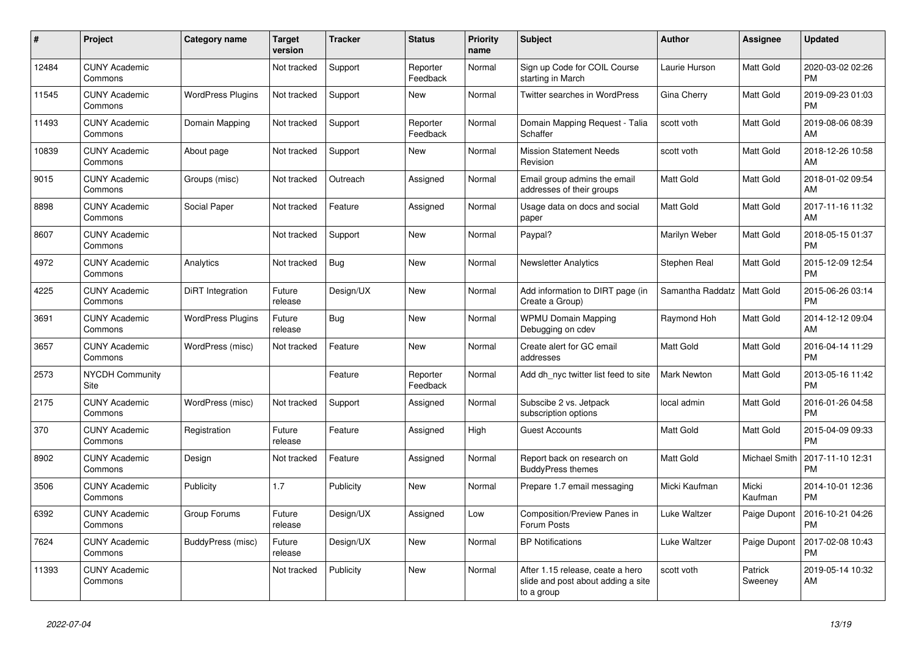| #     | <b>Project</b>                  | Category name            | <b>Target</b><br>version | <b>Tracker</b> | <b>Status</b>        | <b>Priority</b><br>name | <b>Subject</b>                                                                       | <b>Author</b>    | Assignee             | <b>Updated</b>                |
|-------|---------------------------------|--------------------------|--------------------------|----------------|----------------------|-------------------------|--------------------------------------------------------------------------------------|------------------|----------------------|-------------------------------|
| 12484 | <b>CUNY Academic</b><br>Commons |                          | Not tracked              | Support        | Reporter<br>Feedback | Normal                  | Sign up Code for COIL Course<br>starting in March                                    | Laurie Hurson    | Matt Gold            | 2020-03-02 02:26<br><b>PM</b> |
| 11545 | <b>CUNY Academic</b><br>Commons | <b>WordPress Plugins</b> | Not tracked              | Support        | <b>New</b>           | Normal                  | <b>Twitter searches in WordPress</b>                                                 | Gina Cherry      | Matt Gold            | 2019-09-23 01:03<br><b>PM</b> |
| 11493 | <b>CUNY Academic</b><br>Commons | Domain Mapping           | Not tracked              | Support        | Reporter<br>Feedback | Normal                  | Domain Mapping Request - Talia<br>Schaffer                                           | scott voth       | Matt Gold            | 2019-08-06 08:39<br>AM        |
| 10839 | <b>CUNY Academic</b><br>Commons | About page               | Not tracked              | Support        | New                  | Normal                  | <b>Mission Statement Needs</b><br>Revision                                           | scott voth       | Matt Gold            | 2018-12-26 10:58<br>AM        |
| 9015  | <b>CUNY Academic</b><br>Commons | Groups (misc)            | Not tracked              | Outreach       | Assigned             | Normal                  | Email group admins the email<br>addresses of their groups                            | Matt Gold        | Matt Gold            | 2018-01-02 09:54<br>AM        |
| 8898  | <b>CUNY Academic</b><br>Commons | Social Paper             | Not tracked              | Feature        | Assigned             | Normal                  | Usage data on docs and social<br>paper                                               | Matt Gold        | Matt Gold            | 2017-11-16 11:32<br>AM        |
| 8607  | <b>CUNY Academic</b><br>Commons |                          | Not tracked              | Support        | <b>New</b>           | Normal                  | Paypal?                                                                              | Marilyn Weber    | Matt Gold            | 2018-05-15 01:37<br><b>PM</b> |
| 4972  | <b>CUNY Academic</b><br>Commons | Analytics                | Not tracked              | Bug            | <b>New</b>           | Normal                  | <b>Newsletter Analytics</b>                                                          | Stephen Real     | Matt Gold            | 2015-12-09 12:54<br><b>PM</b> |
| 4225  | <b>CUNY Academic</b><br>Commons | DiRT Integration         | Future<br>release        | Design/UX      | New                  | Normal                  | Add information to DIRT page (in<br>Create a Group)                                  | Samantha Raddatz | Matt Gold            | 2015-06-26 03:14<br><b>PM</b> |
| 3691  | <b>CUNY Academic</b><br>Commons | <b>WordPress Plugins</b> | Future<br>release        | Bug            | <b>New</b>           | Normal                  | <b>WPMU Domain Mapping</b><br>Debugging on cdev                                      | Raymond Hoh      | Matt Gold            | 2014-12-12 09:04<br>AM        |
| 3657  | <b>CUNY Academic</b><br>Commons | WordPress (misc)         | Not tracked              | Feature        | <b>New</b>           | Normal                  | Create alert for GC email<br>addresses                                               | Matt Gold        | Matt Gold            | 2016-04-14 11:29<br><b>PM</b> |
| 2573  | <b>NYCDH Community</b><br>Site  |                          |                          | Feature        | Reporter<br>Feedback | Normal                  | Add dh nyc twitter list feed to site                                                 | Mark Newton      | Matt Gold            | 2013-05-16 11:42<br><b>PM</b> |
| 2175  | <b>CUNY Academic</b><br>Commons | WordPress (misc)         | Not tracked              | Support        | Assigned             | Normal                  | Subscibe 2 vs. Jetpack<br>subscription options                                       | local admin      | Matt Gold            | 2016-01-26 04:58<br><b>PM</b> |
| 370   | <b>CUNY Academic</b><br>Commons | Registration             | Future<br>release        | Feature        | Assigned             | High                    | <b>Guest Accounts</b>                                                                | <b>Matt Gold</b> | Matt Gold            | 2015-04-09 09:33<br><b>PM</b> |
| 8902  | <b>CUNY Academic</b><br>Commons | Design                   | Not tracked              | Feature        | Assigned             | Normal                  | Report back on research on<br><b>BuddyPress themes</b>                               | Matt Gold        | <b>Michael Smith</b> | 2017-11-10 12:31<br><b>PM</b> |
| 3506  | <b>CUNY Academic</b><br>Commons | Publicity                | 1.7                      | Publicity      | <b>New</b>           | Normal                  | Prepare 1.7 email messaging                                                          | Micki Kaufman    | Micki<br>Kaufman     | 2014-10-01 12:36<br><b>PM</b> |
| 6392  | <b>CUNY Academic</b><br>Commons | Group Forums             | Future<br>release        | Design/UX      | Assigned             | Low                     | Composition/Preview Panes in<br>Forum Posts                                          | Luke Waltzer     | Paige Dupont         | 2016-10-21 04:26<br><b>PM</b> |
| 7624  | <b>CUNY Academic</b><br>Commons | BuddyPress (misc)        | Future<br>release        | Design/UX      | <b>New</b>           | Normal                  | <b>BP Notifications</b>                                                              | Luke Waltzer     | Paige Dupont         | 2017-02-08 10:43<br><b>PM</b> |
| 11393 | <b>CUNY Academic</b><br>Commons |                          | Not tracked              | Publicity      | <b>New</b>           | Normal                  | After 1.15 release, ceate a hero<br>slide and post about adding a site<br>to a group | scott voth       | Patrick<br>Sweeney   | 2019-05-14 10:32<br>AM        |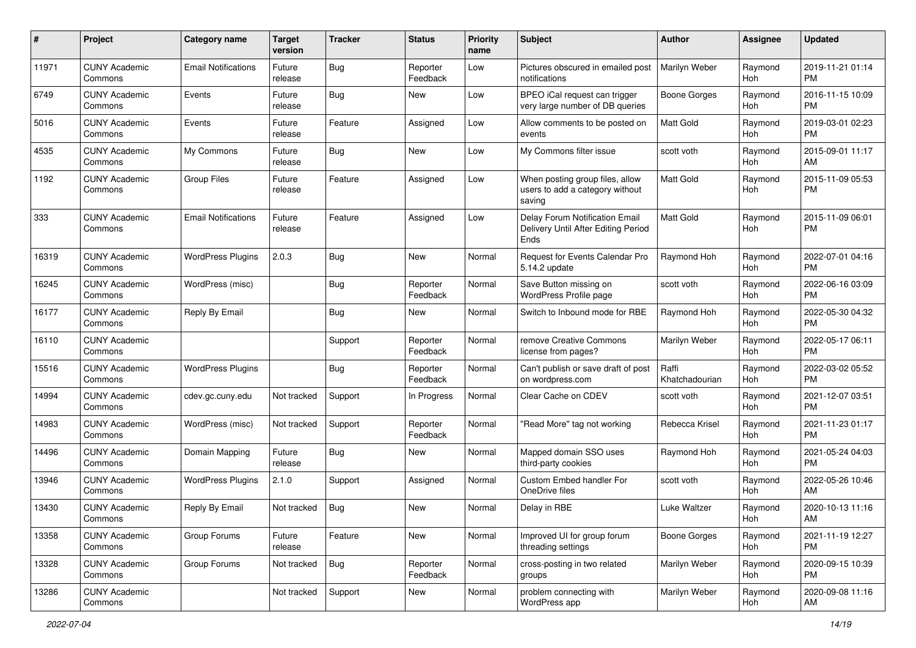| #     | Project                         | <b>Category name</b>       | <b>Target</b><br>version | <b>Tracker</b> | <b>Status</b>        | Priority<br>name | <b>Subject</b>                                                                | <b>Author</b>           | <b>Assignee</b> | <b>Updated</b>                |
|-------|---------------------------------|----------------------------|--------------------------|----------------|----------------------|------------------|-------------------------------------------------------------------------------|-------------------------|-----------------|-------------------------------|
| 11971 | <b>CUNY Academic</b><br>Commons | <b>Email Notifications</b> | Future<br>release        | Bug            | Reporter<br>Feedback | Low              | Pictures obscured in emailed post<br>notifications                            | Marilyn Weber           | Raymond<br>Hoh  | 2019-11-21 01:14<br><b>PM</b> |
| 6749  | <b>CUNY Academic</b><br>Commons | Events                     | Future<br>release        | <b>Bug</b>     | New                  | Low              | BPEO iCal request can trigger<br>very large number of DB queries              | <b>Boone Gorges</b>     | Raymond<br>Hoh  | 2016-11-15 10:09<br><b>PM</b> |
| 5016  | <b>CUNY Academic</b><br>Commons | Events                     | Future<br>release        | Feature        | Assigned             | Low              | Allow comments to be posted on<br>events                                      | <b>Matt Gold</b>        | Raymond<br>Hoh  | 2019-03-01 02:23<br><b>PM</b> |
| 4535  | <b>CUNY Academic</b><br>Commons | My Commons                 | Future<br>release        | Bug            | New                  | Low              | My Commons filter issue                                                       | scott voth              | Raymond<br>Hoh  | 2015-09-01 11:17<br>AM        |
| 1192  | <b>CUNY Academic</b><br>Commons | <b>Group Files</b>         | Future<br>release        | Feature        | Assigned             | Low              | When posting group files, allow<br>users to add a category without<br>saving  | Matt Gold               | Raymond<br>Hoh  | 2015-11-09 05:53<br><b>PM</b> |
| 333   | <b>CUNY Academic</b><br>Commons | <b>Email Notifications</b> | Future<br>release        | Feature        | Assigned             | Low              | Delay Forum Notification Email<br>Delivery Until After Editing Period<br>Ends | <b>Matt Gold</b>        | Raymond<br>Hoh  | 2015-11-09 06:01<br><b>PM</b> |
| 16319 | <b>CUNY Academic</b><br>Commons | <b>WordPress Plugins</b>   | 2.0.3                    | Bug            | New                  | Normal           | Request for Events Calendar Pro<br>5.14.2 update                              | Raymond Hoh             | Raymond<br>Hoh  | 2022-07-01 04:16<br><b>PM</b> |
| 16245 | <b>CUNY Academic</b><br>Commons | WordPress (misc)           |                          | <b>Bug</b>     | Reporter<br>Feedback | Normal           | Save Button missing on<br>WordPress Profile page                              | scott voth              | Raymond<br>Hoh  | 2022-06-16 03:09<br><b>PM</b> |
| 16177 | <b>CUNY Academic</b><br>Commons | Reply By Email             |                          | Bug            | New                  | Normal           | Switch to Inbound mode for RBE                                                | Raymond Hoh             | Raymond<br>Hoh  | 2022-05-30 04:32<br><b>PM</b> |
| 16110 | <b>CUNY Academic</b><br>Commons |                            |                          | Support        | Reporter<br>Feedback | Normal           | remove Creative Commons<br>license from pages?                                | Marilyn Weber           | Raymond<br>Hoh  | 2022-05-17 06:11<br><b>PM</b> |
| 15516 | <b>CUNY Academic</b><br>Commons | <b>WordPress Plugins</b>   |                          | Bug            | Reporter<br>Feedback | Normal           | Can't publish or save draft of post<br>on wordpress.com                       | Raffi<br>Khatchadourian | Raymond<br>Hoh  | 2022-03-02 05:52<br><b>PM</b> |
| 14994 | <b>CUNY Academic</b><br>Commons | cdev.gc.cuny.edu           | Not tracked              | Support        | In Progress          | Normal           | Clear Cache on CDEV                                                           | scott voth              | Raymond<br>Hoh  | 2021-12-07 03:51<br><b>PM</b> |
| 14983 | <b>CUNY Academic</b><br>Commons | WordPress (misc)           | Not tracked              | Support        | Reporter<br>Feedback | Normal           | "Read More" tag not working                                                   | Rebecca Krisel          | Raymond<br>Hoh  | 2021-11-23 01:17<br><b>PM</b> |
| 14496 | <b>CUNY Academic</b><br>Commons | Domain Mapping             | Future<br>release        | Bug            | New                  | Normal           | Mapped domain SSO uses<br>third-party cookies                                 | Raymond Hoh             | Raymond<br>Hoh  | 2021-05-24 04:03<br><b>PM</b> |
| 13946 | <b>CUNY Academic</b><br>Commons | <b>WordPress Plugins</b>   | 2.1.0                    | Support        | Assigned             | Normal           | Custom Embed handler For<br>OneDrive files                                    | scott voth              | Raymond<br>Hoh  | 2022-05-26 10:46<br>AM        |
| 13430 | <b>CUNY Academic</b><br>Commons | Reply By Email             | Not tracked              | Bug            | New                  | Normal           | Delay in RBE                                                                  | Luke Waltzer            | Raymond<br>Hoh  | 2020-10-13 11:16<br>AM        |
| 13358 | <b>CUNY Academic</b><br>Commons | Group Forums               | Future<br>release        | Feature        | New                  | Normal           | Improved UI for group forum<br>threading settings                             | <b>Boone Gorges</b>     | Raymond<br>Hoh  | 2021-11-19 12:27<br><b>PM</b> |
| 13328 | <b>CUNY Academic</b><br>Commons | Group Forums               | Not tracked              | Bug            | Reporter<br>Feedback | Normal           | cross-posting in two related<br>groups                                        | Marilyn Weber           | Raymond<br>Hoh  | 2020-09-15 10:39<br><b>PM</b> |
| 13286 | <b>CUNY Academic</b><br>Commons |                            | Not tracked              | Support        | New                  | Normal           | problem connecting with<br>WordPress app                                      | Marilyn Weber           | Raymond<br>Hoh  | 2020-09-08 11:16<br>AM        |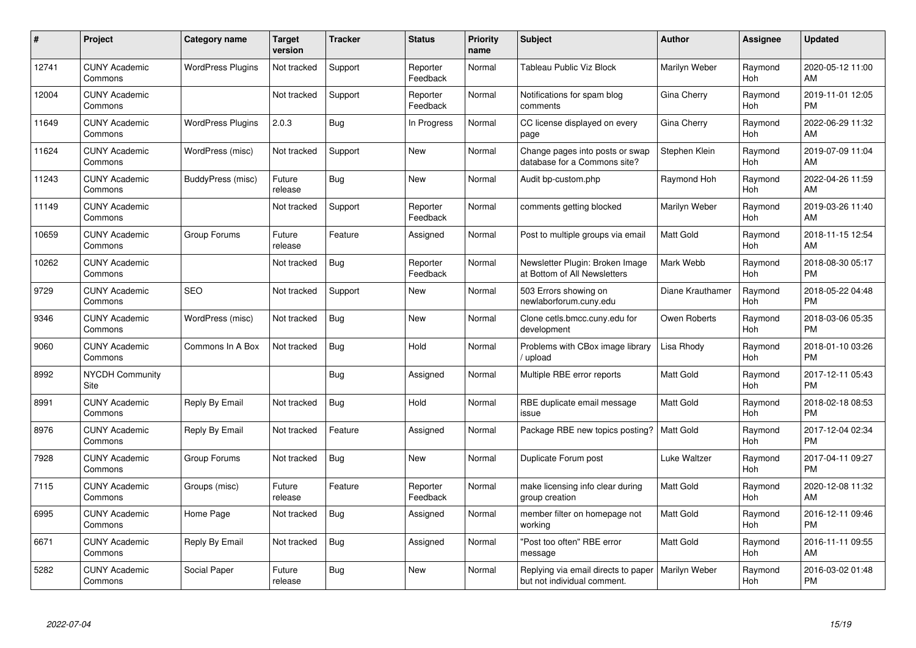| #     | Project                         | <b>Category name</b>     | <b>Target</b><br>version | <b>Tracker</b> | <b>Status</b>        | Priority<br>name | <b>Subject</b>                                                     | <b>Author</b>    | <b>Assignee</b>       | <b>Updated</b>                |
|-------|---------------------------------|--------------------------|--------------------------|----------------|----------------------|------------------|--------------------------------------------------------------------|------------------|-----------------------|-------------------------------|
| 12741 | <b>CUNY Academic</b><br>Commons | <b>WordPress Plugins</b> | Not tracked              | Support        | Reporter<br>Feedback | Normal           | Tableau Public Viz Block                                           | Marilyn Weber    | Raymond<br>Hoh        | 2020-05-12 11:00<br>AM        |
| 12004 | <b>CUNY Academic</b><br>Commons |                          | Not tracked              | Support        | Reporter<br>Feedback | Normal           | Notifications for spam blog<br>comments                            | Gina Cherry      | Raymond<br>Hoh        | 2019-11-01 12:05<br><b>PM</b> |
| 11649 | <b>CUNY Academic</b><br>Commons | <b>WordPress Plugins</b> | 2.0.3                    | <b>Bug</b>     | In Progress          | Normal           | CC license displayed on every<br>page                              | Gina Cherry      | Raymond<br>Hoh        | 2022-06-29 11:32<br>AM        |
| 11624 | <b>CUNY Academic</b><br>Commons | WordPress (misc)         | Not tracked              | Support        | <b>New</b>           | Normal           | Change pages into posts or swap<br>database for a Commons site?    | Stephen Klein    | Raymond<br>Hoh        | 2019-07-09 11:04<br>AM        |
| 11243 | <b>CUNY Academic</b><br>Commons | BuddyPress (misc)        | Future<br>release        | Bug            | <b>New</b>           | Normal           | Audit bp-custom.php                                                | Raymond Hoh      | Raymond<br>Hoh        | 2022-04-26 11:59<br>AM        |
| 11149 | <b>CUNY Academic</b><br>Commons |                          | Not tracked              | Support        | Reporter<br>Feedback | Normal           | comments getting blocked                                           | Marilyn Weber    | Raymond<br>Hoh        | 2019-03-26 11:40<br>AM        |
| 10659 | <b>CUNY Academic</b><br>Commons | Group Forums             | Future<br>release        | Feature        | Assigned             | Normal           | Post to multiple groups via email                                  | <b>Matt Gold</b> | Raymond<br>Hoh        | 2018-11-15 12:54<br>AM        |
| 10262 | <b>CUNY Academic</b><br>Commons |                          | Not tracked              | Bug            | Reporter<br>Feedback | Normal           | Newsletter Plugin: Broken Image<br>at Bottom of All Newsletters    | Mark Webb        | Raymond<br><b>Hoh</b> | 2018-08-30 05:17<br><b>PM</b> |
| 9729  | <b>CUNY Academic</b><br>Commons | <b>SEO</b>               | Not tracked              | Support        | <b>New</b>           | Normal           | 503 Errors showing on<br>newlaborforum.cuny.edu                    | Diane Krauthamer | Raymond<br>Hoh        | 2018-05-22 04:48<br><b>PM</b> |
| 9346  | <b>CUNY Academic</b><br>Commons | WordPress (misc)         | Not tracked              | Bug            | <b>New</b>           | Normal           | Clone cetls.bmcc.cuny.edu for<br>development                       | Owen Roberts     | Raymond<br>Hoh        | 2018-03-06 05:35<br><b>PM</b> |
| 9060  | <b>CUNY Academic</b><br>Commons | Commons In A Box         | Not tracked              | <b>Bug</b>     | Hold                 | Normal           | Problems with CBox image library<br>/ upload                       | Lisa Rhody       | Raymond<br>Hoh        | 2018-01-10 03:26<br><b>PM</b> |
| 8992  | <b>NYCDH Community</b><br>Site  |                          |                          | Bug            | Assigned             | Normal           | Multiple RBE error reports                                         | Matt Gold        | Raymond<br>Hoh        | 2017-12-11 05:43<br><b>PM</b> |
| 8991  | <b>CUNY Academic</b><br>Commons | Reply By Email           | Not tracked              | Bug            | Hold                 | Normal           | RBE duplicate email message<br>issue                               | <b>Matt Gold</b> | Raymond<br>Hoh        | 2018-02-18 08:53<br><b>PM</b> |
| 8976  | <b>CUNY Academic</b><br>Commons | Reply By Email           | Not tracked              | Feature        | Assigned             | Normal           | Package RBE new topics posting?                                    | <b>Matt Gold</b> | Raymond<br>Hoh        | 2017-12-04 02:34<br><b>PM</b> |
| 7928  | <b>CUNY Academic</b><br>Commons | Group Forums             | Not tracked              | <b>Bug</b>     | New                  | Normal           | Duplicate Forum post                                               | Luke Waltzer     | Raymond<br>Hoh        | 2017-04-11 09:27<br><b>PM</b> |
| 7115  | <b>CUNY Academic</b><br>Commons | Groups (misc)            | Future<br>release        | Feature        | Reporter<br>Feedback | Normal           | make licensing info clear during<br>group creation                 | <b>Matt Gold</b> | Raymond<br>Hoh        | 2020-12-08 11:32<br>AM        |
| 6995  | <b>CUNY Academic</b><br>Commons | Home Page                | Not tracked              | <b>Bug</b>     | Assigned             | Normal           | member filter on homepage not<br>working                           | <b>Matt Gold</b> | Raymond<br>Hoh        | 2016-12-11 09:46<br><b>PM</b> |
| 6671  | <b>CUNY Academic</b><br>Commons | Reply By Email           | Not tracked              | Bug            | Assigned             | Normal           | "Post too often" RBE error<br>message                              | <b>Matt Gold</b> | Raymond<br>Hoh        | 2016-11-11 09:55<br>AM        |
| 5282  | <b>CUNY Academic</b><br>Commons | Social Paper             | Future<br>release        | Bug            | <b>New</b>           | Normal           | Replying via email directs to paper<br>but not individual comment. | Marilyn Weber    | Raymond<br>Hoh        | 2016-03-02 01:48<br><b>PM</b> |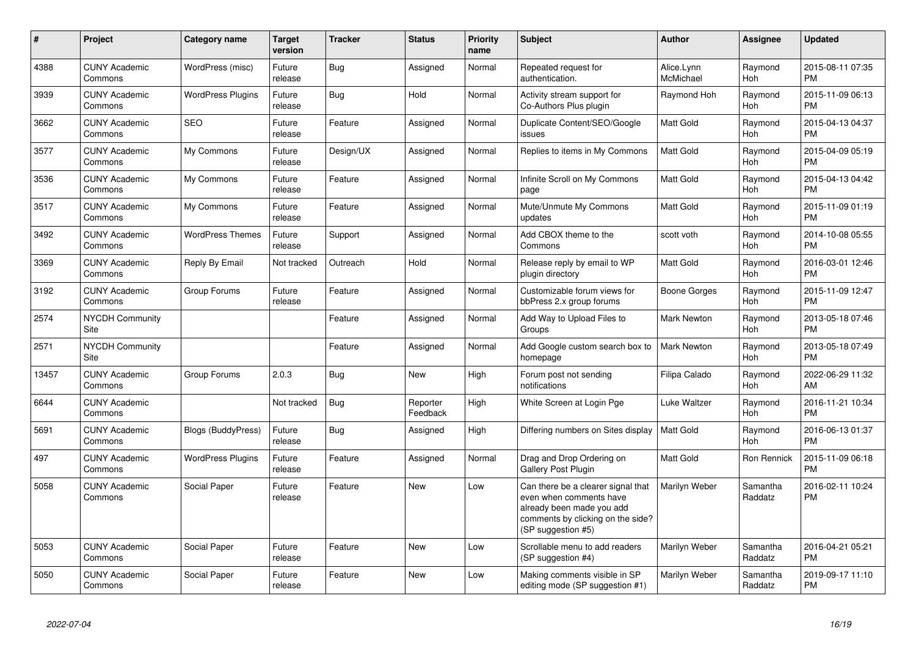| #     | <b>Project</b>                  | Category name             | <b>Target</b><br>version | <b>Tracker</b> | <b>Status</b>        | <b>Priority</b><br>name | <b>Subject</b>                                                                                                                                        | <b>Author</b>           | Assignee              | <b>Updated</b>                |
|-------|---------------------------------|---------------------------|--------------------------|----------------|----------------------|-------------------------|-------------------------------------------------------------------------------------------------------------------------------------------------------|-------------------------|-----------------------|-------------------------------|
| 4388  | <b>CUNY Academic</b><br>Commons | WordPress (misc)          | Future<br>release        | Bug            | Assigned             | Normal                  | Repeated request for<br>authentication.                                                                                                               | Alice.Lynn<br>McMichael | Raymond<br>Hoh        | 2015-08-11 07:35<br><b>PM</b> |
| 3939  | <b>CUNY Academic</b><br>Commons | <b>WordPress Plugins</b>  | Future<br>release        | Bug            | Hold                 | Normal                  | Activity stream support for<br>Co-Authors Plus plugin                                                                                                 | Raymond Hoh             | Raymond<br>Hoh        | 2015-11-09 06:13<br><b>PM</b> |
| 3662  | <b>CUNY Academic</b><br>Commons | <b>SEO</b>                | Future<br>release        | Feature        | Assigned             | Normal                  | Duplicate Content/SEO/Google<br>issues                                                                                                                | <b>Matt Gold</b>        | Raymond<br>Hoh        | 2015-04-13 04:37<br><b>PM</b> |
| 3577  | <b>CUNY Academic</b><br>Commons | My Commons                | Future<br>release        | Design/UX      | Assigned             | Normal                  | Replies to items in My Commons                                                                                                                        | <b>Matt Gold</b>        | Raymond<br>Hoh        | 2015-04-09 05:19<br><b>PM</b> |
| 3536  | <b>CUNY Academic</b><br>Commons | My Commons                | Future<br>release        | Feature        | Assigned             | Normal                  | Infinite Scroll on My Commons<br>page                                                                                                                 | <b>Matt Gold</b>        | Raymond<br>Hoh        | 2015-04-13 04:42<br><b>PM</b> |
| 3517  | <b>CUNY Academic</b><br>Commons | My Commons                | Future<br>release        | Feature        | Assigned             | Normal                  | Mute/Unmute My Commons<br>updates                                                                                                                     | <b>Matt Gold</b>        | Raymond<br>Hoh        | 2015-11-09 01:19<br><b>PM</b> |
| 3492  | <b>CUNY Academic</b><br>Commons | <b>WordPress Themes</b>   | Future<br>release        | Support        | Assigned             | Normal                  | Add CBOX theme to the<br>Commons                                                                                                                      | scott voth              | Raymond<br>Hoh        | 2014-10-08 05:55<br><b>PM</b> |
| 3369  | <b>CUNY Academic</b><br>Commons | Reply By Email            | Not tracked              | Outreach       | Hold                 | Normal                  | Release reply by email to WP<br>plugin directory                                                                                                      | <b>Matt Gold</b>        | Raymond<br>Hoh        | 2016-03-01 12:46<br><b>PM</b> |
| 3192  | <b>CUNY Academic</b><br>Commons | Group Forums              | Future<br>release        | Feature        | Assigned             | Normal                  | Customizable forum views for<br>bbPress 2.x group forums                                                                                              | Boone Gorges            | Raymond<br><b>Hoh</b> | 2015-11-09 12:47<br><b>PM</b> |
| 2574  | <b>NYCDH Community</b><br>Site  |                           |                          | Feature        | Assigned             | Normal                  | Add Way to Upload Files to<br>Groups                                                                                                                  | <b>Mark Newton</b>      | Raymond<br>Hoh        | 2013-05-18 07:46<br><b>PM</b> |
| 2571  | <b>NYCDH Community</b><br>Site  |                           |                          | Feature        | Assigned             | Normal                  | Add Google custom search box to<br>homepage                                                                                                           | <b>Mark Newton</b>      | Raymond<br>Hoh        | 2013-05-18 07:49<br><b>PM</b> |
| 13457 | <b>CUNY Academic</b><br>Commons | Group Forums              | 2.0.3                    | Bug            | New                  | High                    | Forum post not sending<br>notifications                                                                                                               | Filipa Calado           | Raymond<br>Hoh        | 2022-06-29 11:32<br>AM        |
| 6644  | <b>CUNY Academic</b><br>Commons |                           | Not tracked              | <b>Bug</b>     | Reporter<br>Feedback | High                    | White Screen at Login Pge                                                                                                                             | Luke Waltzer            | Raymond<br>Hoh        | 2016-11-21 10:34<br><b>PM</b> |
| 5691  | <b>CUNY Academic</b><br>Commons | <b>Blogs (BuddyPress)</b> | Future<br>release        | Bug            | Assigned             | High                    | Differing numbers on Sites display                                                                                                                    | <b>Matt Gold</b>        | Raymond<br>Hoh        | 2016-06-13 01:37<br><b>PM</b> |
| 497   | <b>CUNY Academic</b><br>Commons | <b>WordPress Plugins</b>  | Future<br>release        | Feature        | Assigned             | Normal                  | Drag and Drop Ordering on<br><b>Gallery Post Plugin</b>                                                                                               | <b>Matt Gold</b>        | <b>Ron Rennick</b>    | 2015-11-09 06:18<br><b>PM</b> |
| 5058  | <b>CUNY Academic</b><br>Commons | Social Paper              | Future<br>release        | Feature        | <b>New</b>           | Low                     | Can there be a clearer signal that<br>even when comments have<br>already been made you add<br>comments by clicking on the side?<br>(SP suggestion #5) | Marilyn Weber           | Samantha<br>Raddatz   | 2016-02-11 10:24<br><b>PM</b> |
| 5053  | <b>CUNY Academic</b><br>Commons | Social Paper              | Future<br>release        | Feature        | <b>New</b>           | Low                     | Scrollable menu to add readers<br>(SP suggestion #4)                                                                                                  | Marilyn Weber           | Samantha<br>Raddatz   | 2016-04-21 05:21<br><b>PM</b> |
| 5050  | <b>CUNY Academic</b><br>Commons | Social Paper              | Future<br>release        | Feature        | <b>New</b>           | Low                     | Making comments visible in SP<br>editing mode (SP suggestion #1)                                                                                      | Marilyn Weber           | Samantha<br>Raddatz   | 2019-09-17 11:10<br><b>PM</b> |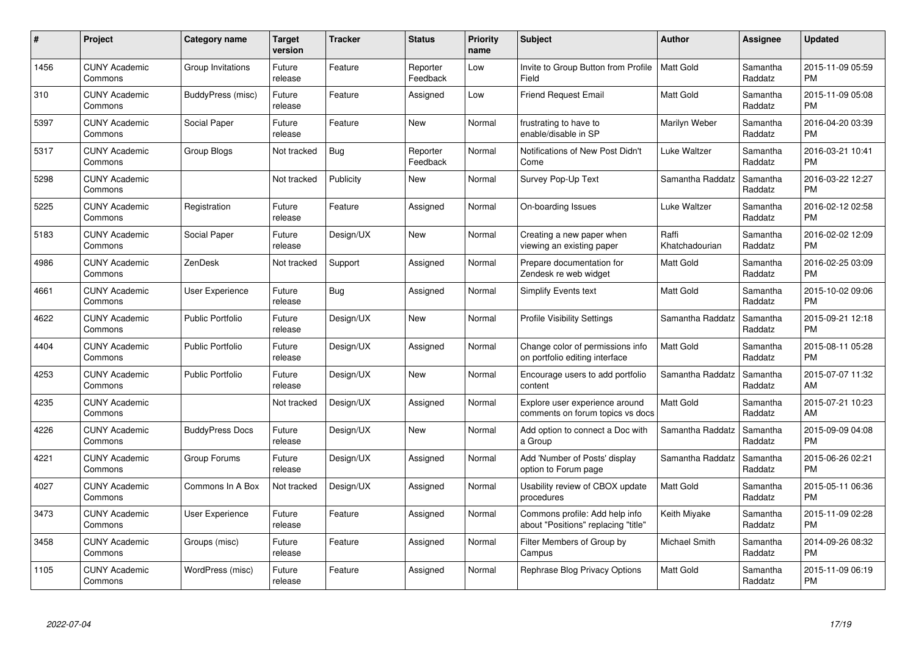| $\#$ | Project                         | <b>Category name</b>    | <b>Target</b><br>version | <b>Tracker</b> | <b>Status</b>        | Priority<br>name | <b>Subject</b>                                                        | <b>Author</b>           | <b>Assignee</b>     | <b>Updated</b>                |
|------|---------------------------------|-------------------------|--------------------------|----------------|----------------------|------------------|-----------------------------------------------------------------------|-------------------------|---------------------|-------------------------------|
| 1456 | <b>CUNY Academic</b><br>Commons | Group Invitations       | Future<br>release        | Feature        | Reporter<br>Feedback | Low              | Invite to Group Button from Profile<br>Field                          | <b>Matt Gold</b>        | Samantha<br>Raddatz | 2015-11-09 05:59<br><b>PM</b> |
| 310  | <b>CUNY Academic</b><br>Commons | BuddyPress (misc)       | Future<br>release        | Feature        | Assigned             | Low              | Friend Request Email                                                  | <b>Matt Gold</b>        | Samantha<br>Raddatz | 2015-11-09 05:08<br><b>PM</b> |
| 5397 | <b>CUNY Academic</b><br>Commons | Social Paper            | Future<br>release        | Feature        | <b>New</b>           | Normal           | frustrating to have to<br>enable/disable in SP                        | Marilyn Weber           | Samantha<br>Raddatz | 2016-04-20 03:39<br><b>PM</b> |
| 5317 | <b>CUNY Academic</b><br>Commons | Group Blogs             | Not tracked              | Bug            | Reporter<br>Feedback | Normal           | Notifications of New Post Didn't<br>Come                              | Luke Waltzer            | Samantha<br>Raddatz | 2016-03-21 10:41<br><b>PM</b> |
| 5298 | <b>CUNY Academic</b><br>Commons |                         | Not tracked              | Publicity      | <b>New</b>           | Normal           | Survey Pop-Up Text                                                    | Samantha Raddatz        | Samantha<br>Raddatz | 2016-03-22 12:27<br><b>PM</b> |
| 5225 | <b>CUNY Academic</b><br>Commons | Registration            | Future<br>release        | Feature        | Assigned             | Normal           | On-boarding Issues                                                    | Luke Waltzer            | Samantha<br>Raddatz | 2016-02-12 02:58<br><b>PM</b> |
| 5183 | <b>CUNY Academic</b><br>Commons | Social Paper            | Future<br>release        | Design/UX      | <b>New</b>           | Normal           | Creating a new paper when<br>viewing an existing paper                | Raffi<br>Khatchadourian | Samantha<br>Raddatz | 2016-02-02 12:09<br><b>PM</b> |
| 4986 | <b>CUNY Academic</b><br>Commons | ZenDesk                 | Not tracked              | Support        | Assigned             | Normal           | Prepare documentation for<br>Zendesk re web widget                    | <b>Matt Gold</b>        | Samantha<br>Raddatz | 2016-02-25 03:09<br><b>PM</b> |
| 4661 | <b>CUNY Academic</b><br>Commons | <b>User Experience</b>  | Future<br>release        | Bug            | Assigned             | Normal           | <b>Simplify Events text</b>                                           | <b>Matt Gold</b>        | Samantha<br>Raddatz | 2015-10-02 09:06<br><b>PM</b> |
| 4622 | <b>CUNY Academic</b><br>Commons | <b>Public Portfolio</b> | Future<br>release        | Design/UX      | <b>New</b>           | Normal           | <b>Profile Visibility Settings</b>                                    | Samantha Raddatz        | Samantha<br>Raddatz | 2015-09-21 12:18<br><b>PM</b> |
| 4404 | <b>CUNY Academic</b><br>Commons | <b>Public Portfolio</b> | Future<br>release        | Design/UX      | Assigned             | Normal           | Change color of permissions info<br>on portfolio editing interface    | Matt Gold               | Samantha<br>Raddatz | 2015-08-11 05:28<br><b>PM</b> |
| 4253 | <b>CUNY Academic</b><br>Commons | <b>Public Portfolio</b> | Future<br>release        | Design/UX      | New                  | Normal           | Encourage users to add portfolio<br>content                           | Samantha Raddatz        | Samantha<br>Raddatz | 2015-07-07 11:32<br>AM        |
| 4235 | <b>CUNY Academic</b><br>Commons |                         | Not tracked              | Design/UX      | Assigned             | Normal           | Explore user experience around<br>comments on forum topics vs docs    | <b>Matt Gold</b>        | Samantha<br>Raddatz | 2015-07-21 10:23<br>AM        |
| 4226 | <b>CUNY Academic</b><br>Commons | <b>BuddyPress Docs</b>  | Future<br>release        | Design/UX      | New                  | Normal           | Add option to connect a Doc with<br>a Group                           | Samantha Raddatz        | Samantha<br>Raddatz | 2015-09-09 04:08<br><b>PM</b> |
| 4221 | <b>CUNY Academic</b><br>Commons | Group Forums            | Future<br>release        | Design/UX      | Assigned             | Normal           | Add 'Number of Posts' display<br>option to Forum page                 | Samantha Raddatz        | Samantha<br>Raddatz | 2015-06-26 02:21<br><b>PM</b> |
| 4027 | <b>CUNY Academic</b><br>Commons | Commons In A Box        | Not tracked              | Design/UX      | Assigned             | Normal           | Usability review of CBOX update<br>procedures                         | Matt Gold               | Samantha<br>Raddatz | 2015-05-11 06:36<br><b>PM</b> |
| 3473 | <b>CUNY Academic</b><br>Commons | User Experience         | Future<br>release        | Feature        | Assigned             | Normal           | Commons profile: Add help info<br>about "Positions" replacing "title" | Keith Miyake            | Samantha<br>Raddatz | 2015-11-09 02:28<br><b>PM</b> |
| 3458 | <b>CUNY Academic</b><br>Commons | Groups (misc)           | Future<br>release        | Feature        | Assigned             | Normal           | Filter Members of Group by<br>Campus                                  | Michael Smith           | Samantha<br>Raddatz | 2014-09-26 08:32<br><b>PM</b> |
| 1105 | <b>CUNY Academic</b><br>Commons | WordPress (misc)        | Future<br>release        | Feature        | Assigned             | Normal           | Rephrase Blog Privacy Options                                         | <b>Matt Gold</b>        | Samantha<br>Raddatz | 2015-11-09 06:19<br><b>PM</b> |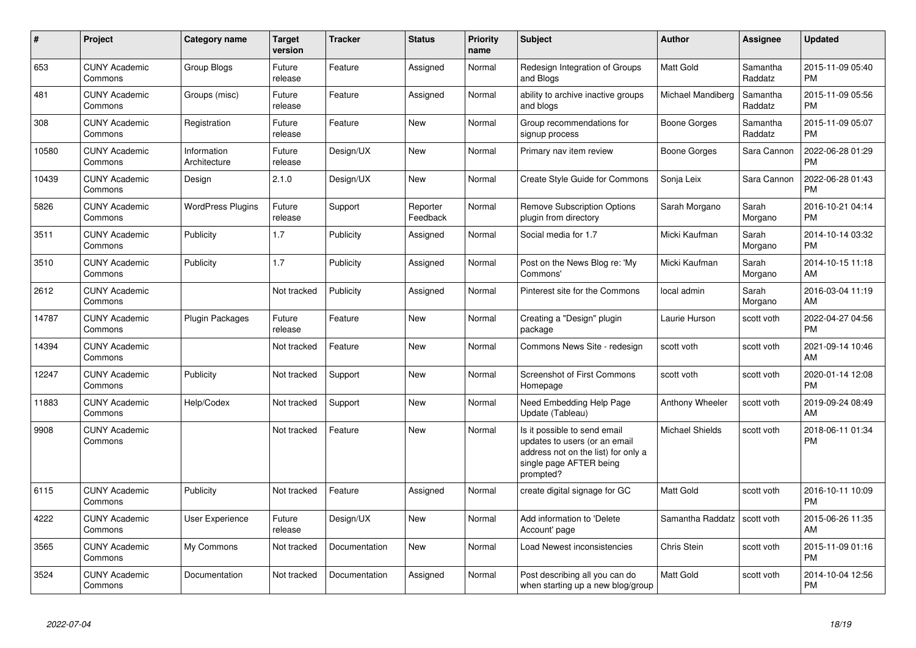| #     | Project                         | <b>Category name</b>        | <b>Target</b><br>version | <b>Tracker</b> | <b>Status</b>        | <b>Priority</b><br>name | <b>Subject</b>                                                                                                                               | <b>Author</b>     | Assignee            | <b>Updated</b>                |
|-------|---------------------------------|-----------------------------|--------------------------|----------------|----------------------|-------------------------|----------------------------------------------------------------------------------------------------------------------------------------------|-------------------|---------------------|-------------------------------|
| 653   | <b>CUNY Academic</b><br>Commons | Group Blogs                 | Future<br>release        | Feature        | Assigned             | Normal                  | Redesign Integration of Groups<br>and Blogs                                                                                                  | <b>Matt Gold</b>  | Samantha<br>Raddatz | 2015-11-09 05:40<br><b>PM</b> |
| 481   | <b>CUNY Academic</b><br>Commons | Groups (misc)               | Future<br>release        | Feature        | Assigned             | Normal                  | ability to archive inactive groups<br>and blogs                                                                                              | Michael Mandiberg | Samantha<br>Raddatz | 2015-11-09 05:56<br><b>PM</b> |
| 308   | <b>CUNY Academic</b><br>Commons | Registration                | Future<br>release        | Feature        | <b>New</b>           | Normal                  | Group recommendations for<br>signup process                                                                                                  | Boone Gorges      | Samantha<br>Raddatz | 2015-11-09 05:07<br><b>PM</b> |
| 10580 | <b>CUNY Academic</b><br>Commons | Information<br>Architecture | Future<br>release        | Design/UX      | <b>New</b>           | Normal                  | Primary nav item review                                                                                                                      | Boone Gorges      | Sara Cannon         | 2022-06-28 01:29<br><b>PM</b> |
| 10439 | <b>CUNY Academic</b><br>Commons | Design                      | 2.1.0                    | Design/UX      | New                  | Normal                  | Create Style Guide for Commons                                                                                                               | Sonja Leix        | Sara Cannon         | 2022-06-28 01:43<br><b>PM</b> |
| 5826  | <b>CUNY Academic</b><br>Commons | <b>WordPress Plugins</b>    | Future<br>release        | Support        | Reporter<br>Feedback | Normal                  | <b>Remove Subscription Options</b><br>plugin from directory                                                                                  | Sarah Morgano     | Sarah<br>Morgano    | 2016-10-21 04:14<br><b>PM</b> |
| 3511  | <b>CUNY Academic</b><br>Commons | <b>Publicity</b>            | 1.7                      | Publicity      | Assigned             | Normal                  | Social media for 1.7                                                                                                                         | Micki Kaufman     | Sarah<br>Morgano    | 2014-10-14 03:32<br><b>PM</b> |
| 3510  | <b>CUNY Academic</b><br>Commons | Publicity                   | 1.7                      | Publicity      | Assigned             | Normal                  | Post on the News Blog re: 'My<br>Commons'                                                                                                    | Micki Kaufman     | Sarah<br>Morgano    | 2014-10-15 11:18<br>AM        |
| 2612  | <b>CUNY Academic</b><br>Commons |                             | Not tracked              | Publicity      | Assigned             | Normal                  | Pinterest site for the Commons                                                                                                               | local admin       | Sarah<br>Morgano    | 2016-03-04 11:19<br>AM        |
| 14787 | <b>CUNY Academic</b><br>Commons | Plugin Packages             | Future<br>release        | Feature        | <b>New</b>           | Normal                  | Creating a "Design" plugin<br>package                                                                                                        | Laurie Hurson     | scott voth          | 2022-04-27 04:56<br><b>PM</b> |
| 14394 | <b>CUNY Academic</b><br>Commons |                             | Not tracked              | Feature        | New                  | Normal                  | Commons News Site - redesign                                                                                                                 | scott voth        | scott voth          | 2021-09-14 10:46<br>AM        |
| 12247 | <b>CUNY Academic</b><br>Commons | Publicity                   | Not tracked              | Support        | New                  | Normal                  | <b>Screenshot of First Commons</b><br>Homepage                                                                                               | scott voth        | scott voth          | 2020-01-14 12:08<br><b>PM</b> |
| 11883 | <b>CUNY Academic</b><br>Commons | Help/Codex                  | Not tracked              | Support        | New                  | Normal                  | Need Embedding Help Page<br>Update (Tableau)                                                                                                 | Anthony Wheeler   | scott voth          | 2019-09-24 08:49<br>AM        |
| 9908  | <b>CUNY Academic</b><br>Commons |                             | Not tracked              | Feature        | <b>New</b>           | Normal                  | Is it possible to send email<br>updates to users (or an email<br>address not on the list) for only a<br>single page AFTER being<br>prompted? | Michael Shields   | scott voth          | 2018-06-11 01:34<br><b>PM</b> |
| 6115  | <b>CUNY Academic</b><br>Commons | Publicity                   | Not tracked              | Feature        | Assigned             | Normal                  | create digital signage for GC                                                                                                                | Matt Gold         | scott voth          | 2016-10-11 10:09<br><b>PM</b> |
| 4222  | <b>CUNY Academic</b><br>Commons | <b>User Experience</b>      | Future<br>release        | Design/UX      | New                  | Normal                  | Add information to 'Delete<br>Account' page                                                                                                  | Samantha Raddatz  | scott voth          | 2015-06-26 11:35<br>AM        |
| 3565  | <b>CUNY Academic</b><br>Commons | My Commons                  | Not tracked              | Documentation  | <b>New</b>           | Normal                  | Load Newest inconsistencies                                                                                                                  | Chris Stein       | scott voth          | 2015-11-09 01:16<br><b>PM</b> |
| 3524  | <b>CUNY Academic</b><br>Commons | Documentation               | Not tracked              | Documentation  | Assigned             | Normal                  | Post describing all you can do<br>when starting up a new blog/group                                                                          | <b>Matt Gold</b>  | scott voth          | 2014-10-04 12:56<br><b>PM</b> |